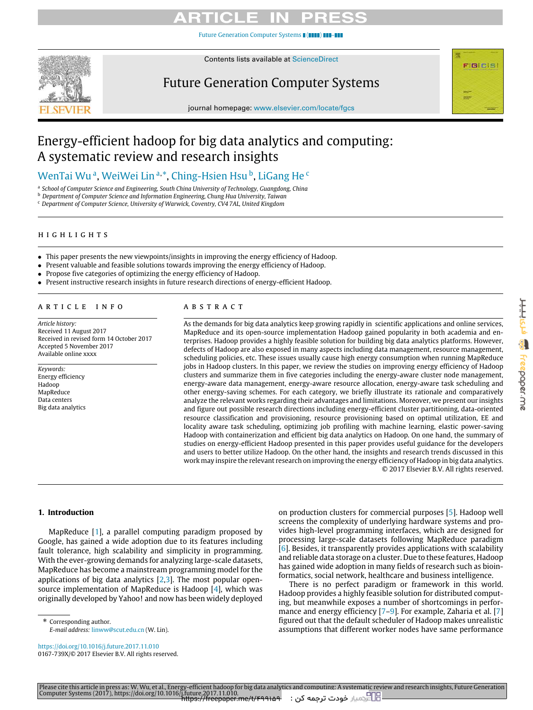[Future Generation Computer Systems](https://doi.org/10.1016/j.future.2017.11.010) | ( $\blacksquare$ 



Contents lists available at [ScienceDirect](http://www.elsevier.com/locate/fgcs)

## Future Generation Computer Systems



journal homepage: [www.elsevier.com/locate/fgcs](http://www.elsevier.com/locate/fgcs)

## Energy-efficient hadoop for big data analytics and computing: A systematic review and research insights

## [WenTai](#page-16-0) [Wu](#page-16-0)ª, WeiWei Linª\*, Ching-Hsien Hsuʰ, LiG[a](#page-0-0)ng [He](#page-16-3)<[c](#page-0-3)ode>c</code>

<span id="page-0-0"></span>a *School of Computer Science and Engineering, South China University of Technology, Guangdong, China*

<span id="page-0-2"></span><sup>b</sup> *Department of Computer Science and Information Engineering, Chung Hua University, Taiwan*

<span id="page-0-3"></span><sup>c</sup> *Department of Computer Science, University of Warwick, Coventry, CV4 7AL, United Kingdom*

### h i g h l i g h t s

- This paper presents the new viewpoints/insights in improving the energy efficiency of Hadoop.
- Present valuable and feasible solutions towards improving the energy efficiency of Hadoop.
- Propose five categories of optimizing the energy efficiency of Hadoop.
- Present instructive research insights in future research directions of energy-efficient Hadoop.

#### a r t i c l e i n f o

*Article history:* Received 11 August 2017 Received in revised form 14 October 2017 Accepted 5 November 2017 Available online xxxx

*Keywords:* Energy efficiency Hadoop MapReduce Data centers Big data analytics

### a b s t r a c t

As the demands for big data analytics keep growing rapidly in scientific applications and online services, MapReduce and its open-source implementation Hadoop gained popularity in both academia and enterprises. Hadoop provides a highly feasible solution for building big data analytics platforms. However, defects of Hadoop are also exposed in many aspects including data management, resource management, scheduling policies, etc. These issues usually cause high energy consumption when running MapReduce jobs in Hadoop clusters. In this paper, we review the studies on improving energy efficiency of Hadoop clusters and summarize them in five categories including the energy-aware cluster node management, energy-aware data management, energy-aware resource allocation, energy-aware task scheduling and other energy-saving schemes. For each category, we briefly illustrate its rationale and comparatively analyze the relevant works regarding their advantages and limitations. Moreover, we present our insights and figure out possible research directions including energy-efficient cluster partitioning, data-oriented resource classification and provisioning, resource provisioning based on optimal utilization, EE and locality aware task scheduling, optimizing job profiling with machine learning, elastic power-saving Hadoop with containerization and efficient big data analytics on Hadoop. On one hand, the summary of studies on energy-efficient Hadoop presented in this paper provides useful guidance for the developers and users to better utilize Hadoop. On the other hand, the insights and research trends discussed in this work may inspire the relevant research on improving the energy efficiency of Hadoop in big data analytics. © 2017 Elsevier B.V. All rights reserved.

#### **1. Introduction**

MapReduce [\[1\]](#page-14-0), a parallel computing paradigm proposed by Google, has gained a wide adoption due to its features including fault tolerance, high scalability and simplicity in programming. With the ever-growing demands for analyzing large-scale datasets, MapReduce has become a mainstream programming model for the applications of big data analytics  $[2,3]$  $[2,3]$ . The most popular opensource implementation of MapReduce is Hadoop [\[4\]](#page-14-3), which was originally developed by Yahoo! and now has been widely deployed

<span id="page-0-1"></span>\* Corresponding author.

*E-mail address:* [linww@scut.edu.cn](mailto:linww@scut.edu.cn) (W. Lin).

<https://doi.org/10.1016/j.future.2017.11.010> 0167-739X/© 2017 Elsevier B.V. All rights reserved. on production clusters for commercial purposes [\[5\]](#page-14-4). Hadoop well screens the complexity of underlying hardware systems and provides high-level programming interfaces, which are designed for processing large-scale datasets following MapReduce paradigm [\[6\]](#page-14-5). Besides, it transparently provides applications with scalability and reliable data storage on a cluster. Due to these features, Hadoop has gained wide adoption in many fields of research such as bioinformatics, social network, healthcare and business intelligence.

There is no perfect paradigm or framework in this world. Hadoop provides a highly feasible solution for distributed computing, but meanwhile exposes a number of shortcomings in perfor-mance and energy efficiency [\[7](#page-14-6)[–9\]](#page-14-7). For example, Zaharia et al. [\[7\]](#page-14-6) figured out that the default scheduler of Hadoop makes unrealistic assumptions that different worker nodes have same performance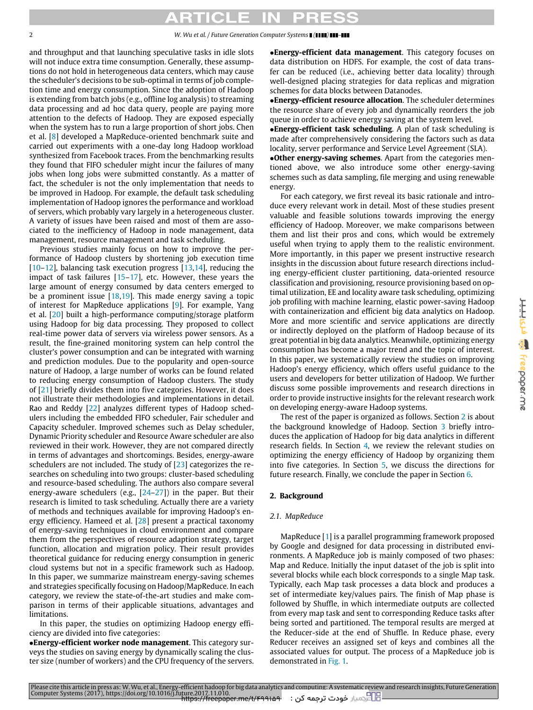and throughput and that launching speculative tasks in idle slots will not induce extra time consumption. Generally, these assumptions do not hold in heterogeneous data centers, which may cause the scheduler's decisions to be sub-optimal in terms of job completion time and energy consumption. Since the adoption of Hadoop is extending from batch jobs (e.g., offline log analysis) to streaming data processing and ad hoc data query, people are paying more attention to the defects of Hadoop. They are exposed especially when the system has to run a large proportion of short jobs. Chen et al. [\[8\]](#page-14-8) developed a MapReduce-oriented benchmark suite and carried out experiments with a one-day long Hadoop workload synthesized from Facebook traces. From the benchmarking results they found that FIFO scheduler might incur the failures of many jobs when long jobs were submitted constantly. As a matter of fact, the scheduler is not the only implementation that needs to be improved in Hadoop. For example, the default task scheduling implementation of Hadoop ignores the performance and workload of servers, which probably vary largely in a heterogeneous cluster. A variety of issues have been raised and most of them are associated to the inefficiency of Hadoop in node management, data management, resource management and task scheduling.

Previous studies mainly focus on how to improve the performance of Hadoop clusters by shortening job execution time [\[10](#page-14-9)[–12\]](#page-14-10), balancing task execution progress [\[13](#page-14-11)[,14\]](#page-14-12), reducing the impact of task failures [\[15](#page-14-13)[–17\]](#page-14-14), etc. However, these years the large amount of energy consumed by data centers emerged to be a prominent issue [\[18,](#page-14-15)[19\]](#page-14-16). This made energy saving a topic of interest for MapReduce applications [\[9\]](#page-14-7). For example, Yang et al. [\[20\]](#page-14-17) built a high-performance computing/storage platform using Hadoop for big data processing. They proposed to collect real-time power data of servers via wireless power sensors. As a result, the fine-grained monitoring system can help control the cluster's power consumption and can be integrated with warning and prediction modules. Due to the popularity and open-source nature of Hadoop, a large number of works can be found related to reducing energy consumption of Hadoop clusters. The study of [\[21\]](#page-14-18) briefly divides them into five categories. However, it does not illustrate their methodologies and implementations in detail. Rao and Reddy [\[22\]](#page-14-19) analyzes different types of Hadoop schedulers including the embedded FIFO scheduler, Fair scheduler and Capacity scheduler. Improved schemes such as Delay scheduler, Dynamic Priority scheduler and Resource Aware scheduler are also reviewed in their work. However, they are not compared directly in terms of advantages and shortcomings. Besides, energy-aware schedulers are not included. The study of [\[23\]](#page-14-20) categorizes the researches on scheduling into two groups: cluster-based scheduling and resource-based scheduling. The authors also compare several energy-aware schedulers (e.g., [\[24](#page-14-21)[–27\]](#page-15-0)) in the paper. But their research is limited to task scheduling. Actually there are a variety of methods and techniques available for improving Hadoop's energy efficiency. Hameed et al. [\[28\]](#page-15-1) present a practical taxonomy of energy-saving techniques in cloud environment and compare them from the perspectives of resource adaption strategy, target function, allocation and migration policy. Their result provides theoretical guidance for reducing energy consumption in generic cloud systems but not in a specific framework such as Hadoop. In this paper, we summarize mainstream energy-saving schemes and strategies specifically focusing on Hadoop/MapReduce. In each category, we review the state-of-the-art studies and make comparison in terms of their applicable situations, advantages and limitations.

In this paper, the studies on optimizing Hadoop energy efficiency are divided into five categories:

•**Energy-efficient worker node management**. This category surveys the studies on saving energy by dynamically scaling the cluster size (number of workers) and the CPU frequency of the servers. •**Energy-efficient data management**. This category focuses on data distribution on HDFS. For example, the cost of data transfer can be reduced (i.e., achieving better data locality) through well-designed placing strategies for data replicas and migration schemes for data blocks between Datanodes.

•**Energy-efficient resource allocation**. The scheduler determines the resource share of every job and dynamically reorders the job queue in order to achieve energy saving at the system level.

•**Energy-efficient task scheduling**. A plan of task scheduling is made after comprehensively considering the factors such as data locality, server performance and Service Level Agreement (SLA).

•**Other energy-saving schemes**. Apart from the categories mentioned above, we also introduce some other energy-saving schemes such as data sampling, file merging and using renewable energy.

For each category, we first reveal its basic rationale and introduce every relevant work in detail. Most of these studies present valuable and feasible solutions towards improving the energy efficiency of Hadoop. Moreover, we make comparisons between them and list their pros and cons, which would be extremely useful when trying to apply them to the realistic environment. More importantly, in this paper we present instructive research insights in the discussion about future research directions including energy-efficient cluster partitioning, data-oriented resource classification and provisioning, resource provisioning based on optimal utilization, EE and locality aware task scheduling, optimizing job profiling with machine learning, elastic power-saving Hadoop with containerization and efficient big data analytics on Hadoop. More and more scientific and service applications are directly or indirectly deployed on the platform of Hadoop because of its great potential in big data analytics. Meanwhile, optimizing energy consumption has become a major trend and the topic of interest. In this paper, we systematically review the studies on improving Hadoop's energy efficiency, which offers useful guidance to the users and developers for better utilization of Hadoop. We further discuss some possible improvements and research directions in order to provide instructive insights for the relevant research work on developing energy-aware Hadoop systems.

The rest of the paper is organized as follows. Section [2](#page-1-0) is about the background knowledge of Hadoop. Section [3](#page-2-0) briefly introduces the application of Hadoop for big data analytics in different research fields. In Section [4,](#page-3-0) we review the relevant studies on optimizing the energy efficiency of Hadoop by organizing them into five categories. In Section [5,](#page-10-0) we discuss the directions for future research. Finally, we conclude the paper in Section [6.](#page-14-22)

### <span id="page-1-0"></span>**2. Background**

### *2.1. MapReduce*

MapReduce [\[1\]](#page-14-0) is a parallel programming framework proposed by Google and designed for data processing in distributed environments. A MapReduce job is mainly composed of two phases: Map and Reduce. Initially the input dataset of the job is split into several blocks while each block corresponds to a single Map task. Typically, each Map task processes a data block and produces a set of intermediate key/values pairs. The finish of Map phase is followed by Shuffle, in which intermediate outputs are collected from every map task and sent to corresponding Reduce tasks after being sorted and partitioned. The temporal results are merged at the Reducer-side at the end of Shuffle. In Reduce phase, every Reducer receives an assigned set of keys and combines all the associated values for output. The process of a MapReduce job is demonstrated in [Fig. 1.](#page-2-1)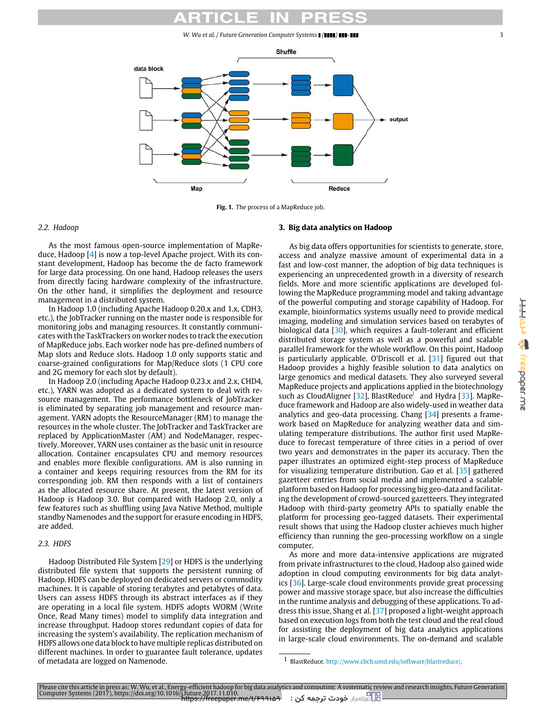*W. Wu et al. / Future Generation Computer Systems ( ) –* 3

<span id="page-2-1"></span>

**Fig. 1.** The process of a MapReduce job.

#### *2.2. Hadoop*

As the most famous open-source implementation of MapReduce, Hadoop [\[4\]](#page-14-3) is now a top-level Apache project. With its constant development, Hadoop has become the de facto framework for large data processing. On one hand, Hadoop releases the users from directly facing hardware complexity of the infrastructure. On the other hand, it simplifies the deployment and resource management in a distributed system.

In Hadoop 1.0 (including Apache Hadoop 0.20.x and 1.x, CDH3, etc.), the JobTracker running on the master node is responsible for monitoring jobs and managing resources. It constantly communicates with the TaskTrackers on worker nodes to track the execution of MapReduce jobs. Each worker node has pre-defined numbers of Map slots and Reduce slots. Hadoop 1.0 only supports static and coarse-grained configurations for Map/Reduce slots (1 CPU core and 2G memory for each slot by default).

In Hadoop 2.0 (including Apache Hadoop 0.23.x and 2.x, CHD4, etc.), YARN was adopted as a dedicated system to deal with resource management. The performance bottleneck of JobTracker is eliminated by separating job management and resource management. YARN adopts the ResourceManager (RM) to manage the resources in the whole cluster. The JobTracker and TaskTracker are replaced by ApplicationMaster (AM) and NodeManager, respectively. Moreover, YARN uses container as the basic unit in resource allocation. Container encapsulates CPU and memory resources and enables more flexible configurations. AM is also running in a container and keeps requiring resources from the RM for its corresponding job. RM then responds with a list of containers as the allocated resource share. At present, the latest version of Hadoop is Hadoop 3.0. But compared with Hadoop 2.0, only a few features such as shuffling using Java Native Method, multiple standby Namenodes and the support for erasure encoding in HDFS, are added.

#### *2.3. HDFS*

<span id="page-2-0"></span>Hadoop Distributed File System [\[29\]](#page-15-2) or HDFS is the underlying distributed file system that supports the persistent running of Hadoop. HDFS can be deployed on dedicated servers or commodity machines. It is capable of storing terabytes and petabytes of data. Users can assess HDFS through its abstract interfaces as if they are operating in a local file system. HDFS adopts WORM (Write Once, Read Many times) model to simplify data integration and increase throughput. Hadoop stores redundant copies of data for increasing the system's availability. The replication mechanism of HDFS allows one data block to have multiple replicas distributed on different machines. In order to guarantee fault tolerance, updates of metadata are logged on Namenode.

### **3. Big data analytics on Hadoop**

As big data offers opportunities for scientists to generate, store, access and analyze massive amount of experimental data in a fast and low-cost manner, the adoption of big data techniques is experiencing an unprecedented growth in a diversity of research fields. More and more scientific applications are developed following the MapReduce programming model and taking advantage of the powerful computing and storage capability of Hadoop. For example, bioinformatics systems usually need to provide medical imaging, modeling and simulation services based on terabytes of biological data [\[30\]](#page-15-3), which requires a fault-tolerant and efficient distributed storage system as well as a powerful and scalable parallel framework for the whole workflow. On this point, Hadoop is particularly applicable. O'Driscoll et al. [\[31\]](#page-15-4) figured out that Hadoop provides a highly feasible solution to data analytics on large genomics and medical datasets. They also surveyed several MapReduce projects and applications applied in the biotechnology such as CloudAlign[e](#page-2-2)r [ $32$ ], BlastReduce<sup>1</sup> and Hydra [ $33$ ]. MapReduce framework and Hadoop are also widely-used in weather data analytics and geo-data processing. Chang [\[34\]](#page-15-7) presents a framework based on MapReduce for analyzing weather data and simulating temperature distributions. The author first used MapReduce to forecast temperature of three cities in a period of over two years and demonstrates in the paper its accuracy. Then the paper illustrates an optimized eight-step process of MapReduce for visualizing temperature distribution. Gao et al. [\[35\]](#page-15-8) gathered gazetteer entries from social media and implemented a scalable platform based on Hadoop for processing big geo-data and facilitating the development of crowd-sourced gazetteers. They integrated Hadoop with third-party geometry APIs to spatially enable the platform for processing geo-tagged datasets. Their experimental result shows that using the Hadoop cluster achieves much higher efficiency than running the geo-processing workflow on a single computer.

As more and more data-intensive applications are migrated from private infrastructures to the cloud, Hadoop also gained wide adoption in cloud computing environments for big data analytics [\[36\]](#page-15-9). Large-scale cloud environments provide great processing power and massive storage space, but also increase the difficulties in the runtime analysis and debugging of these applications. To address this issue, Shang et al. [\[37\]](#page-15-10) proposed a light-weight approach based on execution logs from both the test cloud and the real cloud for assisting the deployment of big data analytics applications in large-scale cloud environments. The on-demand and scalable

<span id="page-2-2"></span><sup>1</sup> BlastReduce. [http://www.cbcb.umd.edu/software/blastreduce/.](http://www.cbcb.umd.edu/software/blastreduce/)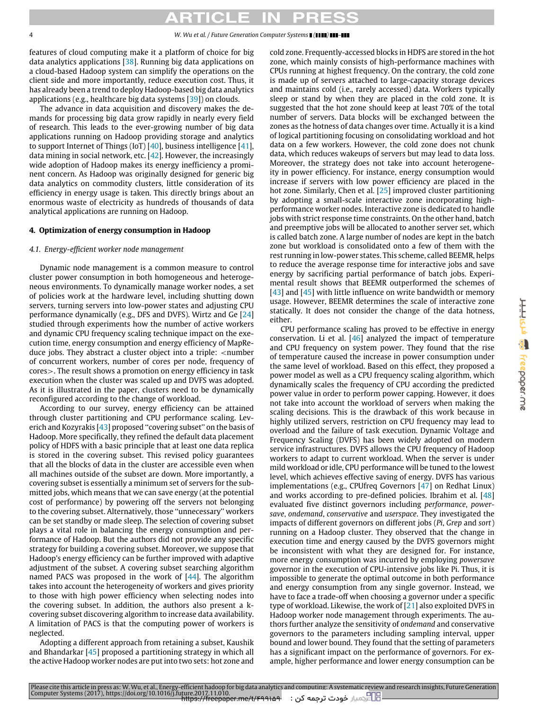features of cloud computing make it a platform of choice for big data analytics applications [\[38\]](#page-15-11). Running big data applications on a cloud-based Hadoop system can simplify the operations on the client side and more importantly, reduce execution cost. Thus, it has already been a trend to deploy Hadoop-based big data analytics applications (e.g., healthcare big data systems [\[39\]](#page-15-12)) on clouds.

The advance in data acquisition and discovery makes the demands for processing big data grow rapidly in nearly every field of research. This leads to the ever-growing number of big data applications running on Hadoop providing storage and analytics to support Internet of Things (IoT) [\[40\]](#page-15-13), business intelligence [\[41\]](#page-15-14), data mining in social network, etc. [\[42\]](#page-15-15). However, the increasingly wide adoption of Hadoop makes its energy inefficiency a prominent concern. As Hadoop was originally designed for generic big data analytics on commodity clusters, little consideration of its efficiency in energy usage is taken. This directly brings about an enormous waste of electricity as hundreds of thousands of data analytical applications are running on Hadoop.

### <span id="page-3-0"></span>**4. Optimization of energy consumption in Hadoop**

#### *4.1. Energy-efficient worker node management*

Dynamic node management is a common measure to control cluster power consumption in both homogeneous and heterogeneous environments. To dynamically manage worker nodes, a set of policies work at the hardware level, including shutting down servers, turning servers into low-power states and adjusting CPU performance dynamically (e.g., DFS and DVFS). Wirtz and Ge [\[24\]](#page-14-21) studied through experiments how the number of active workers and dynamic CPU frequency scaling technique impact on the execution time, energy consumption and energy efficiency of MapReduce jobs. They abstract a cluster object into a triple: <number of concurrent workers, number of cores per node, frequency of cores>. The result shows a promotion on energy efficiency in task execution when the cluster was scaled up and DVFS was adopted. As it is illustrated in the paper, clusters need to be dynamically reconfigured according to the change of workload.

According to our survey, energy efficiency can be attained through cluster partitioning and CPU performance scaling. Leverich and Kozyrakis  $[43]$  proposed "covering subset" on the basis of Hadoop. More specifically, they refined the default data placement policy of HDFS with a basic principle that at least one data replica is stored in the covering subset. This revised policy guarantees that all the blocks of data in the cluster are accessible even when all machines outside of the subset are down. More importantly, a covering subset is essentially a minimum set of servers for the submitted jobs, which means that we can save energy (at the potential cost of performance) by powering off the servers not belonging to the covering subset. Alternatively, those ''unnecessary'' workers can be set standby or made sleep. The selection of covering subset plays a vital role in balancing the energy consumption and performance of Hadoop. But the authors did not provide any specific strategy for building a covering subset. Moreover, we suppose that Hadoop's energy efficiency can be further improved with adaptive adjustment of the subset. A covering subset searching algorithm named PACS was proposed in the work of [\[44\]](#page-15-17). The algorithm takes into account the heterogeneity of workers and gives priority to those with high power efficiency when selecting nodes into the covering subset. In addition, the authors also present a kcovering subset discovering algorithm to increase data availability. A limitation of PACS is that the computing power of workers is neglected.

Adopting a different approach from retaining a subset, Kaushik and Bhandarkar [\[45\]](#page-15-18) proposed a partitioning strategy in which all the active Hadoop worker nodes are put into two sets: hot zone and

cold zone. Frequently-accessed blocks in HDFS are stored in the hot zone, which mainly consists of high-performance machines with CPUs running at highest frequency. On the contrary, the cold zone is made up of servers attached to large-capacity storage devices and maintains cold (i.e., rarely accessed) data. Workers typically sleep or stand by when they are placed in the cold zone. It is suggested that the hot zone should keep at least 70% of the total number of servers. Data blocks will be exchanged between the zones as the hotness of data changes over time. Actually it is a kind of logical partitioning focusing on consolidating workload and hot data on a few workers. However, the cold zone does not chunk data, which reduces wakeups of servers but may lead to data loss. Moreover, the strategy does not take into account heterogeneity in power efficiency. For instance, energy consumption would increase if servers with low power efficiency are placed in the hot zone. Similarly, Chen et al. [\[25\]](#page-15-19) improved cluster partitioning by adopting a small-scale interactive zone incorporating highperformance worker nodes. Interactive zone is dedicated to handle jobs with strict response time constraints. On the other hand, batch and preemptive jobs will be allocated to another server set, which is called batch zone. A large number of nodes are kept in the batch zone but workload is consolidated onto a few of them with the rest running in low-power states. This scheme, called BEEMR, helps to reduce the average response time for interactive jobs and save energy by sacrificing partial performance of batch jobs. Experimental result shows that BEEMR outperformed the schemes of  $[43]$  and  $[45]$  with little influence on write bandwidth or memory usage. However, BEEMR determines the scale of interactive zone statically. It does not consider the change of the data hotness, either.

CPU performance scaling has proved to be effective in energy conservation. Li et al. [\[46\]](#page-15-20) analyzed the impact of temperature and CPU frequency on system power. They found that the rise of temperature caused the increase in power consumption under the same level of workload. Based on this effect, they proposed a power model as well as a CPU frequency scaling algorithm, which dynamically scales the frequency of CPU according the predicted power value in order to perform power capping. However, it does not take into account the workload of servers when making the scaling decisions. This is the drawback of this work because in highly utilized servers, restriction on CPU frequency may lead to overload and the failure of task execution. Dynamic Voltage and Frequency Scaling (DVFS) has been widely adopted on modern service infrastructures. DVFS allows the CPU frequency of Hadoop workers to adapt to current workload. When the server is under mild workload or idle, CPU performance will be tuned to the lowest level, which achieves effective saving of energy. DVFS has various implementations (e.g., CPUfreq Governors [\[47\]](#page-15-21) on Redhat Linux) and works according to pre-defined policies. Ibrahim et al. [\[48\]](#page-15-22) evaluated five distinct governors including *performance*, *powersave*, *ondemand*, *conservative* and *userspace*. They investigated the impacts of different governors on different jobs (*Pi*, *Grep* and *sort*) running on a Hadoop cluster. They observed that the change in execution time and energy caused by the DVFS governors might be inconsistent with what they are designed for. For instance, more energy consumption was incurred by employing *powersave* governor in the execution of CPU-intensive jobs like Pi. Thus, it is impossible to generate the optimal outcome in both performance and energy consumption from any single governor. Instead, we have to face a trade-off when choosing a governor under a specific type of workload. Likewise, the work of [\[21\]](#page-14-18) also exploited DVFS in Hadoop worker node management through experiments. The authors further analyze the sensitivity of *ondemand* and conservative governors to the parameters including sampling interval, upper bound and lower bound. They found that the setting of parameters has a significant impact on the performance of governors. For example, higher performance and lower energy consumption can be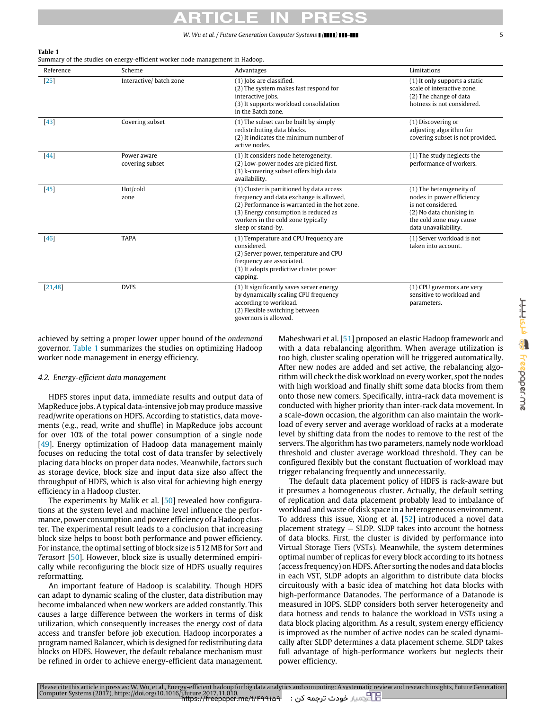#### <span id="page-4-0"></span>**Table 1**

Summary of the studies on energy-efficient worker node management in Hadoop.

| Reference                        | Scheme                         | Advantages                                                                                                                                                                                                                                | Limitations                                                                                                                                               |  |
|----------------------------------|--------------------------------|-------------------------------------------------------------------------------------------------------------------------------------------------------------------------------------------------------------------------------------------|-----------------------------------------------------------------------------------------------------------------------------------------------------------|--|
| $[25]$<br>Interactive/batch zone |                                | (1) Jobs are classified.<br>(2) The system makes fast respond for<br>interactive jobs.<br>(3) It supports workload consolidation<br>in the Batch zone.                                                                                    | (1) It only supports a static<br>scale of interactive zone.<br>(2) The change of data<br>hotness is not considered.                                       |  |
| $[43]$                           | Covering subset                | (1) The subset can be built by simply<br>redistributing data blocks.<br>(2) It indicates the minimum number of<br>active nodes.                                                                                                           | (1) Discovering or<br>adjusting algorithm for<br>covering subset is not provided.                                                                         |  |
| $[44]$                           | Power aware<br>covering subset | (1) It considers node heterogeneity.<br>(2) Low-power nodes are picked first.<br>(3) k-covering subset offers high data<br>availability.                                                                                                  | (1) The study neglects the<br>performance of workers.                                                                                                     |  |
| $[45]$                           | Hot/cold<br>zone               | (1) Cluster is partitioned by data access<br>frequency and data exchange is allowed.<br>(2) Performance is warranted in the hot zone.<br>(3) Energy consumption is reduced as<br>workers in the cold zone typically<br>sleep or stand-by. | (1) The heterogeneity of<br>nodes in power efficiency<br>is not considered.<br>(2) No data chunking in<br>the cold zone may cause<br>data unavailability. |  |
| [46]                             | <b>TAPA</b>                    | (1) Temperature and CPU frequency are<br>considered.<br>(2) Server power, temperature and CPU<br>frequency are associated.<br>(3) It adopts predictive cluster power<br>capping.                                                          | (1) Server workload is not<br>taken into account.                                                                                                         |  |
| [21, 48]                         | <b>DVFS</b>                    | (1) It significantly saves server energy<br>by dynamically scaling CPU frequency<br>according to workload.<br>(2) Flexible switching between<br>governors is allowed.                                                                     | (1) CPU governors are very<br>sensitive to workload and<br>parameters.                                                                                    |  |

Please cite this article in press as: W. Wu, et al., Energy-efficient hadoop for big data analytics and computing: A systematic review and research insights, Future Generation<br>Computer Systems (2017), https://doi.org/10.1

achieved by setting a proper lower upper bound of the *ondemand* governor. [Table 1](#page-4-0) summarizes the studies on optimizing Hadoop worker node management in energy efficiency.

#### *4.2. Energy-efficient data management*

HDFS stores input data, immediate results and output data of MapReduce jobs. A typical data-intensive job may produce massive read/write operations on HDFS. According to statistics, data movements (e.g., read, write and shuffle) in MapReduce jobs account for over 10% of the total power consumption of a single node [\[49\]](#page-15-23). Energy optimization of Hadoop data management mainly focuses on reducing the total cost of data transfer by selectively placing data blocks on proper data nodes. Meanwhile, factors such as storage device, block size and input data size also affect the throughput of HDFS, which is also vital for achieving high energy efficiency in a Hadoop cluster.

The experiments by Malik et al. [\[50\]](#page-15-24) revealed how configurations at the system level and machine level influence the performance, power consumption and power efficiency of a Hadoop cluster. The experimental result leads to a conclusion that increasing block size helps to boost both performance and power efficiency. For instance, the optimal setting of block size is 512 MB for *Sort* and *Terasort* [\[50\]](#page-15-24). However, block size is usually determined empirically while reconfiguring the block size of HDFS usually requires reformatting.

An important feature of Hadoop is scalability. Though HDFS can adapt to dynamic scaling of the cluster, data distribution may become imbalanced when new workers are added constantly. This causes a large difference between the workers in terms of disk utilization, which consequently increases the energy cost of data access and transfer before job execution. Hadoop incorporates a program named Balancer, which is designed for redistributing data blocks on HDFS. However, the default rebalance mechanism must be refined in order to achieve energy-efficient data management. Maheshwari et al. [\[51\]](#page-15-25) proposed an elastic Hadoop framework and with a data rebalancing algorithm. When average utilization is too high, cluster scaling operation will be triggered automatically. After new nodes are added and set active, the rebalancing algorithm will check the disk workload on every worker, spot the nodes with high workload and finally shift some data blocks from them onto those new comers. Specifically, intra-rack data movement is conducted with higher priority than inter-rack data movement. In a scale-down occasion, the algorithm can also maintain the workload of every server and average workload of racks at a moderate level by shifting data from the nodes to remove to the rest of the servers. The algorithm has two parameters, namely node workload threshold and cluster average workload threshold. They can be configured flexibly but the constant fluctuation of workload may trigger rebalancing frequently and unnecessarily.

The default data placement policy of HDFS is rack-aware but it presumes a homogeneous cluster. Actually, the default setting of replication and data placement probably lead to imbalance of workload and waste of disk space in a heterogeneous environment. To address this issue, Xiong et al. [\[52\]](#page-15-26) introduced a novel data placement strategy — SLDP. SLDP takes into account the hotness of data blocks. First, the cluster is divided by performance into Virtual Storage Tiers (VSTs). Meanwhile, the system determines optimal number of replicas for every block according to its hotness (access frequency) on HDFS. After sorting the nodes and data blocks in each VST, SLDP adopts an algorithm to distribute data blocks circuitously with a basic idea of matching hot data blocks with high-performance Datanodes. The performance of a Datanode is measured in IOPS. SLDP considers both server heterogeneity and data hotness and tends to balance the workload in VSTs using a data block placing algorithm. As a result, system energy efficiency is improved as the number of active nodes can be scaled dynamically after SLDP determines a data placement scheme. SLDP takes full advantage of high-performance workers but neglects their power efficiency.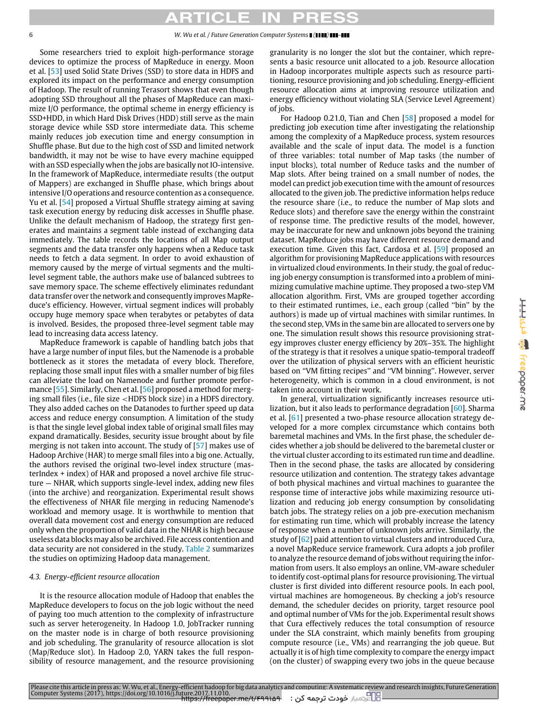Some researchers tried to exploit high-performance storage devices to optimize the process of MapReduce in energy. Moon et al. [\[53\]](#page-15-27) used Solid State Drives (SSD) to store data in HDFS and explored its impact on the performance and energy consumption of Hadoop. The result of running Terasort shows that even though adopting SSD throughout all the phases of MapReduce can maximize I/O performance, the optimal scheme in energy efficiency is SSD+HDD, in which Hard Disk Drives (HDD) still serve as the main storage device while SSD store intermediate data. This scheme mainly reduces job execution time and energy consumption in Shuffle phase. But due to the high cost of SSD and limited network bandwidth, it may not be wise to have every machine equipped with an SSD especially when the jobs are basically not IO-intensive. In the framework of MapReduce, intermediate results (the output of Mappers) are exchanged in Shuffle phase, which brings about intensive I/O operations and resource contention as a consequence. Yu et al. [\[54\]](#page-15-28) proposed a Virtual Shuffle strategy aiming at saving task execution energy by reducing disk accesses in Shuffle phase. Unlike the default mechanism of Hadoop, the strategy first generates and maintains a segment table instead of exchanging data immediately. The table records the locations of all Map output segments and the data transfer only happens when a Reduce task needs to fetch a data segment. In order to avoid exhaustion of memory caused by the merge of virtual segments and the multilevel segment table, the authors make use of balanced subtrees to save memory space. The scheme effectively eliminates redundant data transfer over the network and consequently improves MapReduce's efficiency. However, virtual segment indices will probably occupy huge memory space when terabytes or petabytes of data is involved. Besides, the proposed three-level segment table may lead to increasing data access latency.

MapReduce framework is capable of handling batch jobs that have a large number of input files, but the Namenode is a probable bottleneck as it stores the metadata of every block. Therefore, replacing those small input files with a smaller number of big files can alleviate the load on Namenode and further promote performance [\[55\]](#page-15-29). Similarly, Chen et al. [\[56\]](#page-15-30) proposed a method for merging small files (i.e., file size <HDFS block size) in a HDFS directory. They also added caches on the Datanodes to further speed up data access and reduce energy consumption. A limitation of the study is that the single level global index table of original small files may expand dramatically. Besides, security issue brought about by file merging is not taken into account. The study of [\[57\]](#page-15-31) makes use of Hadoop Archive (HAR) to merge small files into a big one. Actually, the authors revised the original two-level index structure (masterIndex + index) of HAR and proposed a novel archive file structure — NHAR, which supports single-level index, adding new files (into the archive) and reorganization. Experimental result shows the effectiveness of NHAR file merging in reducing Namenode's workload and memory usage. It is worthwhile to mention that overall data movement cost and energy consumption are reduced only when the proportion of valid data in the NHAR is high because useless data blocks may also be archived. File access contention and data security are not considered in the study. [Table 2](#page-6-0) summarizes the studies on optimizing Hadoop data management.

### *4.3. Energy-efficient resource allocation*

It is the resource allocation module of Hadoop that enables the MapReduce developers to focus on the job logic without the need of paying too much attention to the complexity of infrastructure such as server heterogeneity. In Hadoop 1.0, JobTracker running on the master node is in charge of both resource provisioning and job scheduling. The granularity of resource allocation is slot (Map/Reduce slot). In Hadoop 2.0, YARN takes the full responsibility of resource management, and the resource provisioning

granularity is no longer the slot but the container, which represents a basic resource unit allocated to a job. Resource allocation in Hadoop incorporates multiple aspects such as resource partitioning, resource provisioning and job scheduling. Energy-efficient resource allocation aims at improving resource utilization and energy efficiency without violating SLA (Service Level Agreement) of jobs.

For Hadoop 0.21.0, Tian and Chen [\[58\]](#page-15-32) proposed a model for predicting job execution time after investigating the relationship among the complexity of a MapReduce process, system resources available and the scale of input data. The model is a function of three variables: total number of Map tasks (the number of input blocks), total number of Reduce tasks and the number of Map slots. After being trained on a small number of nodes, the model can predict job execution time with the amount of resources allocated to the given job. The predictive information helps reduce the resource share (i.e., to reduce the number of Map slots and Reduce slots) and therefore save the energy within the constraint of response time. The predictive results of the model, however, may be inaccurate for new and unknown jobs beyond the training dataset. MapReduce jobs may have different resource demand and execution time. Given this fact, Cardosa et al. [\[59\]](#page-15-33) proposed an algorithm for provisioning MapReduce applications with resources in virtualized cloud environments. In their study, the goal of reducing job energy consumption is transformed into a problem of minimizing cumulative machine uptime. They proposed a two-step VM allocation algorithm. First, VMs are grouped together according to their estimated runtimes, i.e., each group (called ''bin'' by the authors) is made up of virtual machines with similar runtimes. In the second step, VMs in the same bin are allocated to servers one by one. The simulation result shows this resource provisioning strategy improves cluster energy efficiency by 20%–35%. The highlight of the strategy is that it resolves a unique spatio-temporal tradeoff over the utilization of physical servers with an efficient heuristic based on ''VM fitting recipes'' and ''VM binning''. However, server heterogeneity, which is common in a cloud environment, is not taken into account in their work.

In general, virtualization significantly increases resource utilization, but it also leads to performance degradation [\[60\]](#page-15-34). Sharma et al. [\[61\]](#page-15-35) presented a two-phase resource allocation strategy developed for a more complex circumstance which contains both baremetal machines and VMs. In the first phase, the scheduler decides whether a job should be delivered to the baremetal cluster or the virtual cluster according to its estimated run time and deadline. Then in the second phase, the tasks are allocated by considering resource utilization and contention. The strategy takes advantage of both physical machines and virtual machines to guarantee the response time of interactive jobs while maximizing resource utilization and reducing job energy consumption by consolidating batch jobs. The strategy relies on a job pre-execution mechanism for estimating run time, which will probably increase the latency of response when a number of unknown jobs arrive. Similarly, the study of [\[62\]](#page-15-36) paid attention to virtual clusters and introduced Cura, a novel MapReduce service framework. Cura adopts a job profiler to analyze the resource demand of jobs without requiring the information from users. It also employs an online, VM-aware scheduler to identify cost-optimal plans for resource provisioning. The virtual cluster is first divided into different resource pools. In each pool, virtual machines are homogeneous. By checking a job's resource demand, the scheduler decides on priority, target resource pool and optimal number of VMs for the job. Experimental result shows that Cura effectively reduces the total consumption of resource under the SLA constraint, which mainly benefits from grouping compute resource (i.e., VMs) and rearranging the job queue. But actually it is of high time complexity to compare the energy impact (on the cluster) of swapping every two jobs in the queue because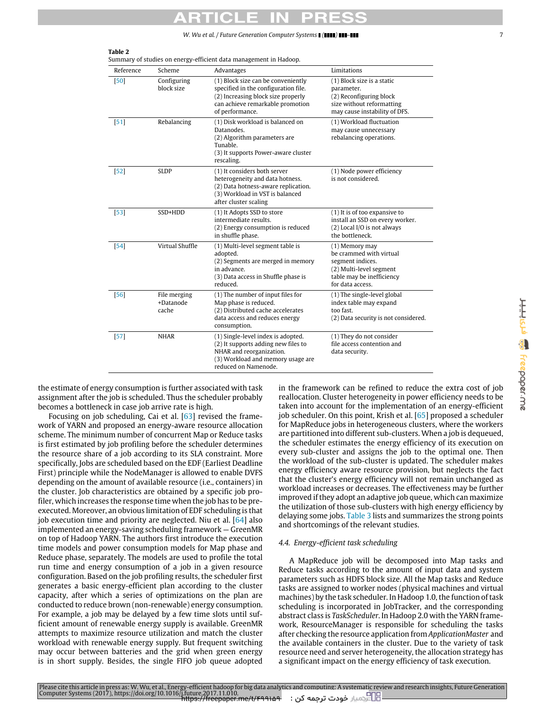*W. Wu et al. / Future Generation Computer Systems*  $\blacksquare$  (

Summary of studies on energy-efficient data management in Hadoop.

| ı.                |
|-------------------|
| ı.<br>İ           |
| ì<br>ţ.<br>١<br>ï |
| $\mathbf{G}$<br>ā |
| ı<br>ı            |
|                   |
|                   |

E

| Reference | Scheme                             | Advantages                                                                                                                                                              | Limitations                                                                                                                               |  |
|-----------|------------------------------------|-------------------------------------------------------------------------------------------------------------------------------------------------------------------------|-------------------------------------------------------------------------------------------------------------------------------------------|--|
| [50]      | Configuring<br>block size          | (1) Block size can be conveniently<br>specified in the configuration file.<br>(2) Increasing block size properly<br>can achieve remarkable promotion<br>of performance. | (1) Block size is a static<br>parameter.<br>(2) Reconfiguring block<br>size without reformatting<br>may cause instability of DFS.         |  |
| $[51]$    | Rebalancing                        | (1) Disk workload is balanced on<br>Datanodes.<br>(2) Algorithm parameters are<br>Tunable.<br>(3) It supports Power-aware cluster<br>rescaling.                         | (1) Workload fluctuation<br>may cause unnecessary<br>rebalancing operations.                                                              |  |
| $[52]$    | <b>SLDP</b>                        | (1) It considers both server<br>heterogeneity and data hotness.<br>(2) Data hotness-aware replication.<br>(3) Workload in VST is balanced<br>after cluster scaling      | (1) Node power efficiency<br>is not considered.                                                                                           |  |
| $[53]$    | SSD+HDD                            | (1) It Adopts SSD to store<br>intermediate results.<br>(2) Energy consumption is reduced<br>in shuffle phase.                                                           | (1) It is of too expansive to<br>install an SSD on every worker.<br>(2) Local I/O is not always<br>the bottleneck.                        |  |
| $[54]$    | Virtual Shuffle                    | (1) Multi-level segment table is<br>adopted.<br>(2) Segments are merged in memory<br>in advance.<br>(3) Data access in Shuffle phase is<br>reduced.                     | (1) Memory may<br>be crammed with virtual<br>segment indices.<br>(2) Multi-level segment<br>table may be inefficiency<br>for data access. |  |
| $[56]$    | File merging<br>+Datanode<br>cache | (1) The number of input files for<br>Map phase is reduced.<br>(2) Distributed cache accelerates<br>data access and reduces energy<br>consumption.                       | (1) The single-level global<br>index table may expand<br>too fast.<br>(2) Data security is not considered.                                |  |
| $[57]$    | <b>NHAR</b>                        | (1) Single-level index is adopted.<br>(2) It supports adding new files to<br>NHAR and reorganization.<br>(3) Workload and memory usage are<br>reduced on Namenode.      | (1) They do not consider<br>file access contention and<br>data security.                                                                  |  |

the estimate of energy consumption is further associated with task assignment after the job is scheduled. Thus the scheduler probably becomes a bottleneck in case job arrive rate is high.

<span id="page-6-0"></span>**Table 2**

Focusing on job scheduling, Cai et al. [\[63\]](#page-15-37) revised the framework of YARN and proposed an energy-aware resource allocation scheme. The minimum number of concurrent Map or Reduce tasks is first estimated by job profiling before the scheduler determines the resource share of a job according to its SLA constraint. More specifically, Jobs are scheduled based on the EDF (Earliest Deadline First) principle while the NodeManager is allowed to enable DVFS depending on the amount of available resource (i.e., containers) in the cluster. Job characteristics are obtained by a specific job profiler, which increases the response time when the job has to be preexecuted. Moreover, an obvious limitation of EDF scheduling is that job execution time and priority are neglected. Niu et al. [\[64\]](#page-15-38) also implemented an energy-saving scheduling framework — GreenMR on top of Hadoop YARN. The authors first introduce the execution time models and power consumption models for Map phase and Reduce phase, separately. The models are used to profile the total run time and energy consumption of a job in a given resource configuration. Based on the job profiling results, the scheduler first generates a basic energy-efficient plan according to the cluster capacity, after which a series of optimizations on the plan are conducted to reduce brown (non-renewable) energy consumption. For example, a job may be delayed by a few time slots until sufficient amount of renewable energy supply is available. GreenMR attempts to maximize resource utilization and match the cluster workload with renewable energy supply. But frequent switching may occur between batteries and the grid when green energy is in short supply. Besides, the single FIFO job queue adopted in the framework can be refined to reduce the extra cost of job reallocation. Cluster heterogeneity in power efficiency needs to be taken into account for the implementation of an energy-efficient job scheduler. On this point, Krish et al. [\[65\]](#page-15-39) proposed a scheduler for MapReduce jobs in heterogeneous clusters, where the workers are partitioned into different sub-clusters. When a job is dequeued, the scheduler estimates the energy efficiency of its execution on every sub-cluster and assigns the job to the optimal one. Then the workload of the sub-cluster is updated. The scheduler makes energy efficiency aware resource provision, but neglects the fact that the cluster's energy efficiency will not remain unchanged as workload increases or decreases. The effectiveness may be further improved if they adopt an adaptive job queue, which can maximize the utilization of those sub-clusters with high energy efficiency by delaying some jobs. [Table 3](#page-7-0) lists and summarizes the strong points and shortcomings of the relevant studies.

### *4.4. Energy-efficient task scheduling*

A MapReduce job will be decomposed into Map tasks and Reduce tasks according to the amount of input data and system parameters such as HDFS block size. All the Map tasks and Reduce tasks are assigned to worker nodes (physical machines and virtual machines) by the task scheduler. In Hadoop 1.0, the function of task scheduling is incorporated in JobTracker, and the corresponding abstract class is *TaskScheduler*. In Hadoop 2.0 with the YARN framework, ResourceManager is responsible for scheduling the tasks after checking the resource application from *ApplicationMaster* and the available containers in the cluster. Due to the variety of task resource need and server heterogeneity, the allocation strategy has a significant impact on the energy efficiency of task execution.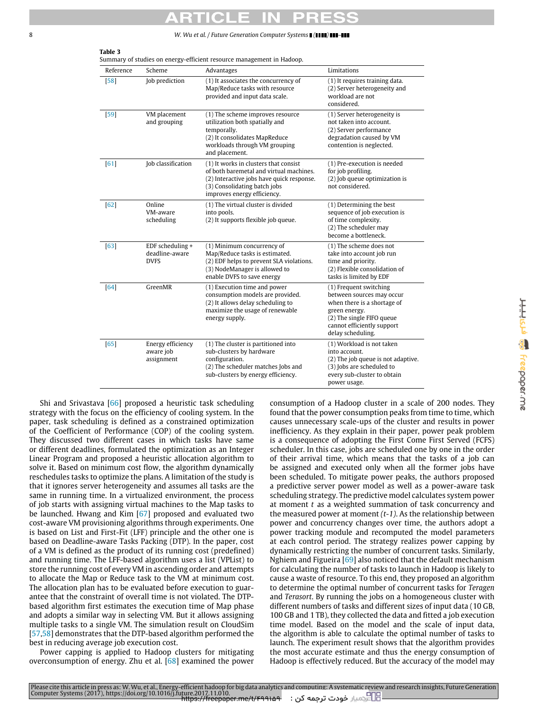<span id="page-7-0"></span>**Table 3**

8 *W. Wu et al. / Future Generation Computer Systems ( ) –*

| Reference | Scheme                                            | Advantages                                                                                                                                                                                   | Limitations                                                                                                                                                                         |
|-----------|---------------------------------------------------|----------------------------------------------------------------------------------------------------------------------------------------------------------------------------------------------|-------------------------------------------------------------------------------------------------------------------------------------------------------------------------------------|
| $[58]$    | Job prediction                                    | (1) It associates the concurrency of<br>Map/Reduce tasks with resource<br>provided and input data scale.                                                                                     | (1) It requires training data.<br>(2) Server heterogeneity and<br>workload are not<br>considered.                                                                                   |
| $[59]$    | VM placement<br>and grouping                      | (1) The scheme improves resource<br>utilization both spatially and<br>temporally.<br>(2) It consolidates MapReduce<br>workloads through VM grouping<br>and placement.                        | (1) Server heterogeneity is<br>not taken into account.<br>(2) Server performance<br>degradation caused by VM<br>contention is neglected.                                            |
| [61]      | Job classification                                | (1) It works in clusters that consist<br>of both baremetal and virtual machines.<br>(2) Interactive jobs have quick response.<br>(3) Consolidating batch jobs<br>improves energy efficiency. | (1) Pre-execution is needed<br>for job profiling.<br>(2) Job queue optimization is<br>not considered.                                                                               |
| [62]      | Online<br>VM-aware<br>scheduling                  | (1) The virtual cluster is divided<br>into pools.<br>(2) It supports flexible job queue.                                                                                                     | (1) Determining the best<br>sequence of job execution is<br>of time complexity.<br>(2) The scheduler may<br>become a bottleneck.                                                    |
| $[63]$    | EDF scheduling +<br>deadline-aware<br><b>DVFS</b> | (1) Minimum concurrency of<br>Map/Reduce tasks is estimated.<br>(2) EDF helps to prevent SLA violations.<br>(3) NodeManager is allowed to<br>enable DVFS to save energy                      | (1) The scheme does not<br>take into account job run<br>time and priority.<br>(2) Flexible consolidation of<br>tasks is limited by EDF                                              |
| [64]      | GreenMR                                           | (1) Execution time and power<br>consumption models are provided.<br>(2) It allows delay scheduling to<br>maximize the usage of renewable<br>energy supply.                                   | (1) Frequent switching<br>between sources may occur<br>when there is a shortage of<br>green energy.<br>(2) The single FIFO queue<br>cannot efficiently support<br>delay scheduling. |
| [65]      | Energy efficiency<br>aware job<br>assignment      | (1) The cluster is partitioned into<br>sub-clusters by hardware<br>configuration.<br>(2) The scheduler matches Jobs and<br>sub-clusters by energy efficiency.                                | (1) Workload is not taken<br>into account.<br>(2) The job queue is not adaptive.<br>(3) Jobs are scheduled to<br>every sub-cluster to obtain<br>power usage.                        |

Please cite this article in press as: W. Wu, et al., Energy-efficient hadoop for big data analytics and computing: A systematic review and research insights, Future Generation<br>Computer Systems (2017), https://doi.org/10.1

Shi and Srivastava [\[66\]](#page-15-40) proposed a heuristic task scheduling strategy with the focus on the efficiency of cooling system. In the paper, task scheduling is defined as a constrained optimization of the Coefficient of Performance (COP) of the cooling system. They discussed two different cases in which tasks have same or different deadlines, formulated the optimization as an Integer Linear Program and proposed a heuristic allocation algorithm to solve it. Based on minimum cost flow, the algorithm dynamically reschedules tasks to optimize the plans. A limitation of the study is that it ignores server heterogeneity and assumes all tasks are the same in running time. In a virtualized environment, the process of job starts with assigning virtual machines to the Map tasks to be launched. Hwang and Kim [\[67\]](#page-15-41) proposed and evaluated two cost-aware VM provisioning algorithms through experiments. One is based on List and First-Fit (LFF) principle and the other one is based on Deadline-aware Tasks Packing (DTP). In the paper, cost of a VM is defined as the product of its running cost (predefined) and running time. The LFF-based algorithm uses a list (VPList) to store the running cost of every VM in ascending order and attempts to allocate the Map or Reduce task to the VM at minimum cost. The allocation plan has to be evaluated before execution to guarantee that the constraint of overall time is not violated. The DTPbased algorithm first estimates the execution time of Map phase and adopts a similar way in selecting VM. But it allows assigning multiple tasks to a single VM. The simulation result on CloudSim [\[57](#page-15-31)[,58\]](#page-15-32) demonstrates that the DTP-based algorithm performed the best in reducing average job execution cost.

Power capping is applied to Hadoop clusters for mitigating overconsumption of energy. Zhu et al. [\[68\]](#page-15-42) examined the power consumption of a Hadoop cluster in a scale of 200 nodes. They found that the power consumption peaks from time to time, which causes unnecessary scale-ups of the cluster and results in power inefficiency. As they explain in their paper, power peak problem is a consequence of adopting the First Come First Served (FCFS) scheduler. In this case, jobs are scheduled one by one in the order of their arrival time, which means that the tasks of a job can be assigned and executed only when all the former jobs have been scheduled. To mitigate power peaks, the authors proposed a predictive server power model as well as a power-aware task scheduling strategy. The predictive model calculates system power at moment *t* as a weighted summation of task concurrency and the measured power at moment *(t-1)*. As the relationship between power and concurrency changes over time, the authors adopt a power tracking module and recomputed the model parameters at each control period. The strategy realizes power capping by dynamically restricting the number of concurrent tasks. Similarly, Nghiem and Figueira  $[69]$  also noticed that the default mechanism for calculating the number of tasks to launch in Hadoop is likely to cause a waste of resource. To this end, they proposed an algorithm to determine the optimal number of concurrent tasks for *Teragen* and *Terasort*. By running the jobs on a homogeneous cluster with different numbers of tasks and different sizes of input data (10 GB, 100 GB and 1 TB), they collected the data and fitted a job execution time model. Based on the model and the scale of input data, the algorithm is able to calculate the optimal number of tasks to launch. The experiment result shows that the algorithm provides the most accurate estimate and thus the energy consumption of Hadoop is effectively reduced. But the accuracy of the model may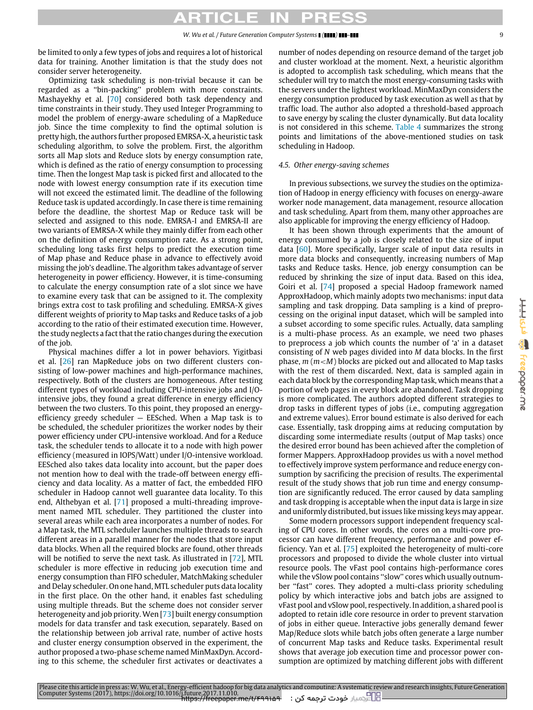## $\bullet$

be limited to only a few types of jobs and requires a lot of historical data for training. Another limitation is that the study does not consider server heterogeneity.

Optimizing task scheduling is non-trivial because it can be regarded as a ''bin-packing'' problem with more constraints. Mashayekhy et al. [\[70\]](#page-15-44) considered both task dependency and time constraints in their study. They used Integer Programming to model the problem of energy-aware scheduling of a MapReduce job. Since the time complexity to find the optimal solution is pretty high, the authors further proposed EMRSA-X, a heuristic task scheduling algorithm, to solve the problem. First, the algorithm sorts all Map slots and Reduce slots by energy consumption rate, which is defined as the ratio of energy consumption to processing time. Then the longest Map task is picked first and allocated to the node with lowest energy consumption rate if its execution time will not exceed the estimated limit. The deadline of the following Reduce task is updated accordingly. In case there is time remaining before the deadline, the shortest Map or Reduce task will be selected and assigned to this node. EMRSA-I and EMRSA-II are two variants of EMRSA-X while they mainly differ from each other on the definition of energy consumption rate. As a strong point, scheduling long tasks first helps to predict the execution time of Map phase and Reduce phase in advance to effectively avoid missing the job's deadline. The algorithm takes advantage of server heterogeneity in power efficiency. However, it is time-consuming to calculate the energy consumption rate of a slot since we have to examine every task that can be assigned to it. The complexity brings extra cost to task profiling and scheduling. EMRSA-X gives different weights of priority to Map tasks and Reduce tasks of a job according to the ratio of their estimated execution time. However, the study neglects a fact that the ratio changes during the execution of the job.

Physical machines differ a lot in power behaviors. Yigitbasi et al. [\[26\]](#page-15-45) ran MapReduce jobs on two different clusters consisting of low-power machines and high-performance machines, respectively. Both of the clusters are homogeneous. After testing different types of workload including CPU-intensive jobs and I/Ointensive jobs, they found a great difference in energy efficiency between the two clusters. To this point, they proposed an energyefficiency greedy scheduler — EESched. When a Map task is to be scheduled, the scheduler prioritizes the worker nodes by their power efficiency under CPU-intensive workload. And for a Reduce task, the scheduler tends to allocate it to a node with high power efficiency (measured in IOPS/Watt) under I/O-intensive workload. EESched also takes data locality into account, but the paper does not mention how to deal with the trade-off between energy efficiency and data locality. As a matter of fact, the embedded FIFO scheduler in Hadoop cannot well guarantee data locality. To this end, Althebyan et al. [\[71\]](#page-15-46) proposed a multi-threading improvement named MTL scheduler. They partitioned the cluster into several areas while each area incorporates a number of nodes. For a Map task, the MTL scheduler launches multiple threads to search different areas in a parallel manner for the nodes that store input data blocks. When all the required blocks are found, other threads will be notified to serve the next task. As illustrated in [\[72\]](#page-15-47), MTL scheduler is more effective in reducing job execution time and energy consumption than FIFO scheduler, MatchMaking scheduler and Delay scheduler. On one hand, MTL scheduler puts data locality in the first place. On the other hand, it enables fast scheduling using multiple threads. But the scheme does not consider server heterogeneity and job priority. Wen [\[73\]](#page-15-48) built energy consumption models for data transfer and task execution, separately. Based on the relationship between job arrival rate, number of active hosts and cluster energy consumption observed in the experiment, the author proposed a two-phase scheme named MinMaxDyn. According to this scheme, the scheduler first activates or deactivates a number of nodes depending on resource demand of the target job and cluster workload at the moment. Next, a heuristic algorithm is adopted to accomplish task scheduling, which means that the scheduler will try to match the most energy-consuming tasks with the servers under the lightest workload. MinMaxDyn considers the energy consumption produced by task execution as well as that by traffic load. The author also adopted a threshold-based approach to save energy by scaling the cluster dynamically. But data locality is not considered in this scheme. [Table 4](#page-9-0) summarizes the strong points and limitations of the above-mentioned studies on task scheduling in Hadoop.

#### *4.5. Other energy-saving schemes*

In previous subsections, we survey the studies on the optimization of Hadoop in energy efficiency with focuses on energy-aware worker node management, data management, resource allocation and task scheduling. Apart from them, many other approaches are also applicable for improving the energy efficiency of Hadoop.

It has been shown through experiments that the amount of energy consumed by a job is closely related to the size of input data [\[60\]](#page-15-34). More specifically, larger scale of input data results in more data blocks and consequently, increasing numbers of Map tasks and Reduce tasks. Hence, job energy consumption can be reduced by shrinking the size of input data. Based on this idea, Goiri et al. [\[74\]](#page-15-49) proposed a special Hadoop framework named ApproxHadoop, which mainly adopts two mechanisms: input data sampling and task dropping. Data sampling is a kind of preprocessing on the original input dataset, which will be sampled into a subset according to some specific rules. Actually, data sampling is a multi-phase process. As an example, we need two phases to preprocess a job which counts the number of 'a' in a dataset consisting of *N* web pages divided into *M* data blocks. In the first phase, *m* (*m*<*M*) blocks are picked out and allocated to Map tasks with the rest of them discarded. Next, data is sampled again in each data block by the corresponding Map task, which means that a portion of web pages in every block are abandoned. Task dropping is more complicated. The authors adopted different strategies to drop tasks in different types of jobs (i.e., computing aggregation and extreme values). Error bound estimate is also derived for each case. Essentially, task dropping aims at reducing computation by discarding some intermediate results (output of Map tasks) once the desired error bound has been achieved after the completion of former Mappers. ApproxHadoop provides us with a novel method to effectively improve system performance and reduce energy consumption by sacrificing the precision of results. The experimental result of the study shows that job run time and energy consumption are significantly reduced. The error caused by data sampling and task dropping is acceptable when the input data is large in size and uniformly distributed, but issues like missing keys may appear.

Some modern processors support independent frequency scaling of CPU cores. In other words, the cores on a multi-core processor can have different frequency, performance and power efficiency. Yan et al. [\[75\]](#page-15-50) exploited the heterogeneity of multi-core processors and proposed to divide the whole cluster into virtual resource pools. The vFast pool contains high-performance cores while the vSlow pool contains "slow" cores which usually outnumber ''fast'' cores. They adopted a multi-class priority scheduling policy by which interactive jobs and batch jobs are assigned to vFast pool and vSlow pool, respectively. In addition, a shared pool is adopted to retain idle core resource in order to prevent starvation of jobs in either queue. Interactive jobs generally demand fewer Map/Reduce slots while batch jobs often generate a large number of concurrent Map tasks and Reduce tasks. Experimental result shows that average job execution time and processor power consumption are optimized by matching different jobs with different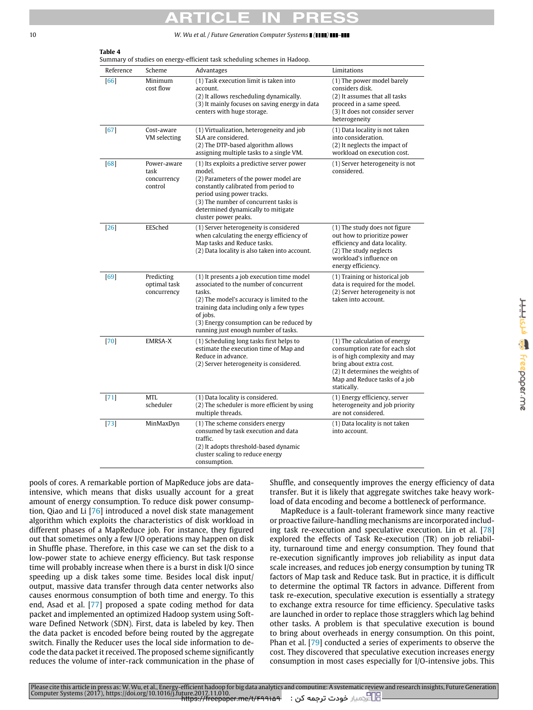# <span id="page-9-0"></span>**Table 4**

|  | Summary of studies on energy-efficient task scheduling schemes in Hadoop. |  |  |
|--|---------------------------------------------------------------------------|--|--|
|  |                                                                           |  |  |
|  |                                                                           |  |  |

| Reference | Scheme                                        | Advantages                                                                                                                                                                                                                                                                               | Limitations                                                                                                                                                                                                     |
|-----------|-----------------------------------------------|------------------------------------------------------------------------------------------------------------------------------------------------------------------------------------------------------------------------------------------------------------------------------------------|-----------------------------------------------------------------------------------------------------------------------------------------------------------------------------------------------------------------|
| [66]      | Minimum<br>cost flow                          | (1) Task execution limit is taken into<br>account.<br>(2) It allows rescheduling dynamically.<br>(3) It mainly focuses on saving energy in data<br>centers with huge storage.                                                                                                            | (1) The power model barely<br>considers disk.<br>(2) It assumes that all tasks<br>proceed in a same speed.<br>(3) It does not consider server<br>heterogeneity                                                  |
| [67]      | Cost-aware<br>VM selecting                    | (1) Virtualization, heterogeneity and job<br>SLA are considered.<br>(2) The DTP-based algorithm allows<br>assigning multiple tasks to a single VM.                                                                                                                                       | (1) Data locality is not taken<br>into consideration.<br>(2) It neglects the impact of<br>workload on execution cost.                                                                                           |
| [68]      | Power-aware<br>task<br>concurrency<br>control | (1) Its exploits a predictive server power<br>model.<br>(2) Parameters of the power model are<br>constantly calibrated from period to<br>period using power tracks.<br>(3) The number of concurrent tasks is<br>determined dynamically to mitigate<br>cluster power peaks.               | (1) Server heterogeneity is not<br>considered.                                                                                                                                                                  |
| $[26]$    | EESched                                       | (1) Server heterogeneity is considered<br>when calculating the energy efficiency of<br>Map tasks and Reduce tasks.<br>(2) Data locality is also taken into account.                                                                                                                      | (1) The study does not figure<br>out how to prioritize power<br>efficiency and data locality.<br>(2) The study neglects<br>workload's influence on<br>energy efficiency.                                        |
| [69]      | Predicting<br>optimal task<br>concurrency     | (1) It presents a job execution time model<br>associated to the number of concurrent<br>tasks.<br>(2) The model's accuracy is limited to the<br>training data including only a few types<br>of jobs.<br>(3) Energy consumption can be reduced by<br>running just enough number of tasks. | (1) Training or historical job<br>data is required for the model.<br>(2) Server heterogeneity is not<br>taken into account.                                                                                     |
| $[70]$    | EMRSA-X                                       | (1) Scheduling long tasks first helps to<br>estimate the execution time of Map and<br>Reduce in advance.<br>(2) Server heterogeneity is considered.                                                                                                                                      | (1) The calculation of energy<br>consumption rate for each slot<br>is of high complexity and may<br>bring about extra cost.<br>(2) It determines the weights of<br>Map and Reduce tasks of a job<br>statically. |
| $[71]$    | MTL<br>scheduler                              | (1) Data locality is considered.<br>(2) The scheduler is more efficient by using<br>multiple threads.                                                                                                                                                                                    | (1) Energy efficiency, server<br>heterogeneity and job priority<br>are not considered.                                                                                                                          |
| $[73]$    | MinMaxDyn                                     | (1) The scheme considers energy<br>consumed by task execution and data<br>traffic.<br>(2) It adopts threshold-based dynamic<br>cluster scaling to reduce energy<br>consumption.                                                                                                          | (1) Data locality is not taken<br>into account.                                                                                                                                                                 |

<u> H.H.Isla So</u> freepaper.me

pools of cores. A remarkable portion of MapReduce jobs are dataintensive, which means that disks usually account for a great amount of energy consumption. To reduce disk power consumption, Qiao and Li [\[76\]](#page-15-51) introduced a novel disk state management algorithm which exploits the characteristics of disk workload in different phases of a MapReduce job. For instance, they figured out that sometimes only a few I/O operations may happen on disk in Shuffle phase. Therefore, in this case we can set the disk to a low-power state to achieve energy efficiency. But task response time will probably increase when there is a burst in disk I/O since speeding up a disk takes some time. Besides local disk input/ output, massive data transfer through data center networks also causes enormous consumption of both time and energy. To this end, Asad et al. [\[77\]](#page-15-52) proposed a spate coding method for data packet and implemented an optimized Hadoop system using Software Defined Network (SDN). First, data is labeled by key. Then the data packet is encoded before being routed by the aggregate switch. Finally the Reducer uses the local side information to decode the data packet it received. The proposed scheme significantly reduces the volume of inter-rack communication in the phase of

Shuffle, and consequently improves the energy efficiency of data transfer. But it is likely that aggregate switches take heavy workload of data encoding and become a bottleneck of performance.

MapReduce is a fault-tolerant framework since many reactive or proactive failure-handling mechanisms are incorporated including task re-execution and speculative execution. Lin et al. [\[78\]](#page-16-4) explored the effects of Task Re-execution (TR) on job reliability, turnaround time and energy consumption. They found that re-execution significantly improves job reliability as input data scale increases, and reduces job energy consumption by tuning TR factors of Map task and Reduce task. But in practice, it is difficult to determine the optimal TR factors in advance. Different from task re-execution, speculative execution is essentially a strategy to exchange extra resource for time efficiency. Speculative tasks are launched in order to replace those stragglers which lag behind other tasks. A problem is that speculative execution is bound to bring about overheads in energy consumption. On this point, Phan et al. [\[79\]](#page-16-5) conducted a series of experiments to observe the cost. They discovered that speculative execution increases energy consumption in most cases especially for I/O-intensive jobs. This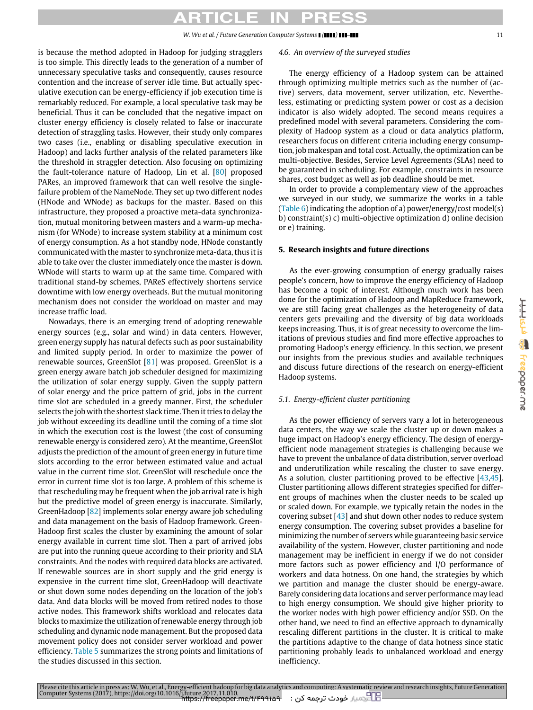## CI E

is because the method adopted in Hadoop for judging stragglers is too simple. This directly leads to the generation of a number of unnecessary speculative tasks and consequently, causes resource contention and the increase of server idle time. But actually speculative execution can be energy-efficiency if job execution time is remarkably reduced. For example, a local speculative task may be beneficial. Thus it can be concluded that the negative impact on cluster energy efficiency is closely related to false or inaccurate detection of straggling tasks. However, their study only compares two cases (i.e., enabling or disabling speculative execution in Hadoop) and lacks further analysis of the related parameters like the threshold in straggler detection. Also focusing on optimizing the fault-tolerance nature of Hadoop, Lin et al. [\[80\]](#page-16-6) proposed PARes, an improved framework that can well resolve the singlefailure problem of the NameNode. They set up two different nodes (HNode and WNode) as backups for the master. Based on this infrastructure, they proposed a proactive meta-data synchronization, mutual monitoring between masters and a warm-up mechanism (for WNode) to increase system stability at a minimum cost of energy consumption. As a hot standby node, HNode constantly communicated with the master to synchronize meta-data, thus it is able to take over the cluster immediately once the master is down. WNode will starts to warm up at the same time. Compared with traditional stand-by schemes, PAReS effectively shortens service downtime with low energy overheads. But the mutual monitoring mechanism does not consider the workload on master and may increase traffic load.

Nowadays, there is an emerging trend of adopting renewable energy sources (e.g., solar and wind) in data centers. However, green energy supply has natural defects such as poor sustainability and limited supply period. In order to maximize the power of renewable sources, GreenSlot [\[81\]](#page-16-7) was proposed. GreenSlot is a green energy aware batch job scheduler designed for maximizing the utilization of solar energy supply. Given the supply pattern of solar energy and the price pattern of grid, jobs in the current time slot are scheduled in a greedy manner. First, the scheduler selects the job with the shortest slack time. Then it tries to delay the job without exceeding its deadline until the coming of a time slot in which the execution cost is the lowest (the cost of consuming renewable energy is considered zero). At the meantime, GreenSlot adjusts the prediction of the amount of green energy in future time slots according to the error between estimated value and actual value in the current time slot. GreenSlot will reschedule once the error in current time slot is too large. A problem of this scheme is that rescheduling may be frequent when the job arrival rate is high but the predictive model of green energy is inaccurate. Similarly, GreenHadoop [\[82\]](#page-16-8) implements solar energy aware job scheduling and data management on the basis of Hadoop framework. Green-Hadoop first scales the cluster by examining the amount of solar energy available in current time slot. Then a part of arrived jobs are put into the running queue according to their priority and SLA constraints. And the nodes with required data blocks are activated. If renewable sources are in short supply and the grid energy is expensive in the current time slot, GreenHadoop will deactivate or shut down some nodes depending on the location of the job's data. And data blocks will be moved from retired nodes to those active nodes. This framework shifts workload and relocates data blocks to maximize the utilization of renewable energy through job scheduling and dynamic node management. But the proposed data movement policy does not consider server workload and power efficiency. [Table 5](#page-11-0) summarizes the strong points and limitations of the studies discussed in this section.

#### *4.6. An overview of the surveyed studies*

The energy efficiency of a Hadoop system can be attained through optimizing multiple metrics such as the number of (active) servers, data movement, server utilization, etc. Nevertheless, estimating or predicting system power or cost as a decision indicator is also widely adopted. The second means requires a predefined model with several parameters. Considering the complexity of Hadoop system as a cloud or data analytics platform, researchers focus on different criteria including energy consumption, job makespan and total cost. Actually, the optimization can be multi-objective. Besides, Service Level Agreements (SLAs) need to be guaranteed in scheduling. For example, constraints in resource shares, cost budget as well as job deadline should be met.

In order to provide a complementary view of the approaches we surveyed in our study, we summarize the works in a table [\(Table 6\)](#page-11-1) indicating the adoption of a) power/energy/cost model(s) b) constraint(s) c) multi-objective optimization d) online decision or e) training.

#### <span id="page-10-0"></span>**5. Research insights and future directions**

As the ever-growing consumption of energy gradually raises people's concern, how to improve the energy efficiency of Hadoop has become a topic of interest. Although much work has been done for the optimization of Hadoop and MapReduce framework, we are still facing great challenges as the heterogeneity of data centers gets prevailing and the diversity of big data workloads keeps increasing. Thus, it is of great necessity to overcome the limitations of previous studies and find more effective approaches to promoting Hadoop's energy efficiency. In this section, we present our insights from the previous studies and available techniques and discuss future directions of the research on energy-efficient Hadoop systems.

### *5.1. Energy-efficient cluster partitioning*

As the power efficiency of servers vary a lot in heterogeneous data centers, the way we scale the cluster up or down makes a huge impact on Hadoop's energy efficiency. The design of energyefficient node management strategies is challenging because we have to prevent the unbalance of data distribution, server overload and underutilization while rescaling the cluster to save energy. As a solution, cluster partitioning proved to be effective [\[43](#page-15-16)[,45\]](#page-15-18). Cluster partitioning allows different strategies specified for different groups of machines when the cluster needs to be scaled up or scaled down. For example, we typically retain the nodes in the covering subset  $[43]$  and shut down other nodes to reduce system energy consumption. The covering subset provides a baseline for minimizing the number of servers while guaranteeing basic service availability of the system. However, cluster partitioning and node management may be inefficient in energy if we do not consider more factors such as power efficiency and I/O performance of workers and data hotness. On one hand, the strategies by which we partition and manage the cluster should be energy-aware. Barely considering data locations and server performance may lead to high energy consumption. We should give higher priority to the worker nodes with high power efficiency and/or SSD. On the other hand, we need to find an effective approach to dynamically rescaling different partitions in the cluster. It is critical to make the partitions adaptive to the change of data hotness since static partitioning probably leads to unbalanced workload and energy inefficiency.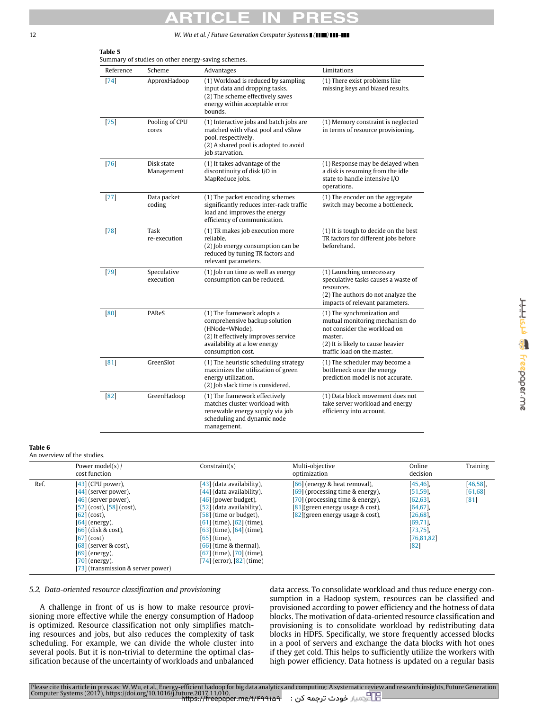| Reference | Scheme                                                                                                                                                                 | Advantages                                                                                                                                                                | Limitations                                                                                                                                                                  |  |
|-----------|------------------------------------------------------------------------------------------------------------------------------------------------------------------------|---------------------------------------------------------------------------------------------------------------------------------------------------------------------------|------------------------------------------------------------------------------------------------------------------------------------------------------------------------------|--|
| $[74]$    | (1) Workload is reduced by sampling<br>ApproxHadoop<br>input data and dropping tasks.<br>(2) The scheme effectively saves<br>energy within acceptable error<br>bounds. |                                                                                                                                                                           | (1) There exist problems like<br>missing keys and biased results.                                                                                                            |  |
| [75]      | Pooling of CPU<br>cores                                                                                                                                                | (1) Interactive jobs and batch jobs are<br>matched with vFast pool and vSlow<br>pool, respectively.<br>(2) A shared pool is adopted to avoid<br>job starvation.           | (1) Memory constraint is neglected<br>in terms of resource provisioning.                                                                                                     |  |
| $[76]$    | Disk state<br>Management                                                                                                                                               | (1) It takes advantage of the<br>discontinuity of disk I/O in<br>MapReduce jobs.                                                                                          | (1) Response may be delayed when<br>a disk is resuming from the idle<br>state to handle intensive I/O<br>operations.                                                         |  |
| $[77]$    | Data packet<br>coding                                                                                                                                                  | (1) The packet encoding schemes<br>significantly reduces inter-rack traffic<br>load and improves the energy<br>efficiency of communication.                               | (1) The encoder on the aggregate<br>switch may become a bottleneck.                                                                                                          |  |
| $[78]$    | Task<br>re-execution                                                                                                                                                   | (1) TR makes job execution more<br>reliable.<br>(2) Job energy consumption can be<br>reduced by tuning TR factors and<br>relevant parameters.                             | (1) It is tough to decide on the best<br>TR factors for different jobs before<br>beforehand.                                                                                 |  |
| $[79]$    | Speculative<br>execution                                                                                                                                               | (1) Job run time as well as energy<br>consumption can be reduced.                                                                                                         | (1) Launching unnecessary<br>speculative tasks causes a waste of<br>resources.<br>(2) The authors do not analyze the<br>impacts of relevant parameters.                      |  |
| [80]      | PAReS                                                                                                                                                                  | (1) The framework adopts a<br>comprehensive backup solution<br>(HNode+WNode).<br>(2) It effectively improves service<br>availability at a low energy<br>consumption cost. | (1) The synchronization and<br>mutual monitoring mechanism do<br>not consider the workload on<br>master.<br>(2) It is likely to cause heavier<br>traffic load on the master. |  |
| [81]      | GreenSlot                                                                                                                                                              | (1) The heuristic scheduling strategy<br>maximizes the utilization of green<br>energy utilization.<br>(2) Job slack time is considered.                                   | (1) The scheduler may become a<br>bottleneck once the energy<br>prediction model is not accurate.                                                                            |  |
| 82        | GreenHadoop                                                                                                                                                            | (1) The framework effectively<br>matches cluster workload with<br>renewable energy supply via job<br>scheduling and dynamic node<br>management.                           | (1) Data block movement does not<br>take server workload and energy<br>efficiency into account.                                                                              |  |

### <span id="page-11-1"></span>**Table 6**

An overview of the studies.

|      | Power model(s) /<br>cost function                                                                                                                                                                                                                                                               | Constant(s)                                                                                                                                                                                                                                                                                                         | Multi-objective<br>optimization                                                                                                                                                       | Online<br>decision                                                                                                           | Training                         |
|------|-------------------------------------------------------------------------------------------------------------------------------------------------------------------------------------------------------------------------------------------------------------------------------------------------|---------------------------------------------------------------------------------------------------------------------------------------------------------------------------------------------------------------------------------------------------------------------------------------------------------------------|---------------------------------------------------------------------------------------------------------------------------------------------------------------------------------------|------------------------------------------------------------------------------------------------------------------------------|----------------------------------|
| Ref. | $[43]$ (CPU power),<br>$[44]$ (server power),<br>[46] (server power),<br>$[52]$ (cost), $[58]$ (cost),<br>$[62]$ (cost),<br>$[64]$ (energy),<br>$[66]$ (disk & cost),<br>$[67]$ (cost)<br>$[68]$ (server & cost),<br>$[69]$ (energy),<br>$[70]$ (energy),<br>[73] (transmission & server power) | [43] (data availability),<br>[44] (data availability),<br>[46] (power budget),<br>[52] (data availability),<br>[58] (time or budget),<br>$[61]$ (time), $[62]$ (time),<br>$[63]$ (time), $[64]$ (time),<br>$[65]$ (time),<br>$[66]$ (time & thermal),<br>$[67]$ (time), $[70]$ (time).<br>[74] (error), [82] (time) | [66] (energy & heat removal),<br>$[69]$ (processing time & energy),<br>[70] (processing time & energy).<br>$[81]$ (green energy usage & cost),<br>$[82]$ (green energy usage & cost), | $[45, 46]$ ,<br>$[51, 59]$ ,<br>$[62, 63]$ ,<br>$[64, 67]$ ,<br>[26, 68]<br>[69, 71]<br>$[73, 75]$ ,<br>[76, 81, 82]<br>[82] | $[46, 58]$ ,<br>[61, 68]<br>[81] |

### *5.2. Data-oriented resource classification and provisioning*

A challenge in front of us is how to make resource provisioning more effective while the energy consumption of Hadoop is optimized. Resource classification not only simplifies matching resources and jobs, but also reduces the complexity of task scheduling. For example, we can divide the whole cluster into several pools. But it is non-trivial to determine the optimal classification because of the uncertainty of workloads and unbalanced

data access. To consolidate workload and thus reduce energy consumption in a Hadoop system, resources can be classified and provisioned according to power efficiency and the hotness of data blocks. The motivation of data-oriented resource classification and provisioning is to consolidate workload by redistributing data blocks in HDFS. Specifically, we store frequently accessed blocks in a pool of servers and exchange the data blocks with hot ones if they get cold. This helps to sufficiently utilize the workers with high power efficiency. Data hotness is updated on a regular basis

<span id="page-11-0"></span>**Table 5**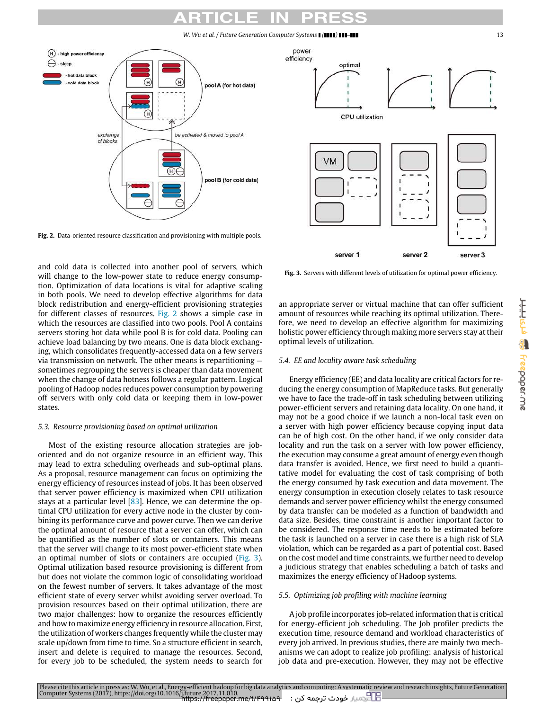<span id="page-12-0"></span>

**Fig. 2.** Data-oriented resource classification and provisioning with multiple pools.

and cold data is collected into another pool of servers, which will change to the low-power state to reduce energy consumption. Optimization of data locations is vital for adaptive scaling in both pools. We need to develop effective algorithms for data block redistribution and energy-efficient provisioning strategies for different classes of resources. [Fig. 2](#page-12-0) shows a simple case in which the resources are classified into two pools. Pool A contains servers storing hot data while pool B is for cold data. Pooling can achieve load balancing by two means. One is data block exchanging, which consolidates frequently-accessed data on a few servers via transmission on network. The other means is repartitioning sometimes regrouping the servers is cheaper than data movement when the change of data hotness follows a regular pattern. Logical pooling of Hadoop nodes reduces power consumption by powering off servers with only cold data or keeping them in low-power states.

#### *5.3. Resource provisioning based on optimal utilization*

Most of the existing resource allocation strategies are joboriented and do not organize resource in an efficient way. This may lead to extra scheduling overheads and sub-optimal plans. As a proposal, resource management can focus on optimizing the energy efficiency of resources instead of jobs. It has been observed that server power efficiency is maximized when CPU utilization stays at a particular level  $[83]$ . Hence, we can determine the optimal CPU utilization for every active node in the cluster by combining its performance curve and power curve. Then we can derive the optimal amount of resource that a server can offer, which can be quantified as the number of slots or containers. This means that the server will change to its most power-efficient state when an optimal number of slots or containers are occupied [\(Fig. 3\)](#page-12-1). Optimal utilization based resource provisioning is different from but does not violate the common logic of consolidating workload on the fewest number of servers. It takes advantage of the most efficient state of every server whilst avoiding server overload. To provision resources based on their optimal utilization, there are two major challenges: how to organize the resources efficiently and how to maximize energy efficiency in resource allocation. First, the utilization of workers changes frequently while the cluster may scale up/down from time to time. So a structure efficient in search, insert and delete is required to manage the resources. Second, for every job to be scheduled, the system needs to search for

<span id="page-12-1"></span>

**Fig. 3.** Servers with different levels of utilization for optimal power efficiency.

an appropriate server or virtual machine that can offer sufficient amount of resources while reaching its optimal utilization. Therefore, we need to develop an effective algorithm for maximizing holistic power efficiency through making more servers stay at their optimal levels of utilization.

### *5.4. EE and locality aware task scheduling*

Energy efficiency (EE) and data locality are critical factors for reducing the energy consumption of MapReduce tasks. But generally we have to face the trade-off in task scheduling between utilizing power-efficient servers and retaining data locality. On one hand, it may not be a good choice if we launch a non-local task even on a server with high power efficiency because copying input data can be of high cost. On the other hand, if we only consider data locality and run the task on a server with low power efficiency, the execution may consume a great amount of energy even though data transfer is avoided. Hence, we first need to build a quantitative model for evaluating the cost of task comprising of both the energy consumed by task execution and data movement. The energy consumption in execution closely relates to task resource demands and server power efficiency whilst the energy consumed by data transfer can be modeled as a function of bandwidth and data size. Besides, time constraint is another important factor to be considered. The response time needs to be estimated before the task is launched on a server in case there is a high risk of SLA violation, which can be regarded as a part of potential cost. Based on the cost model and time constraints, we further need to develop a judicious strategy that enables scheduling a batch of tasks and maximizes the energy efficiency of Hadoop systems.

#### *5.5. Optimizing job profiling with machine learning*

A job profile incorporates job-related information that is critical for energy-efficient job scheduling. The Job profiler predicts the execution time, resource demand and workload characteristics of every job arrived. In previous studies, there are mainly two mechanisms we can adopt to realize job profiling: analysis of historical job data and pre-execution. However, they may not be effective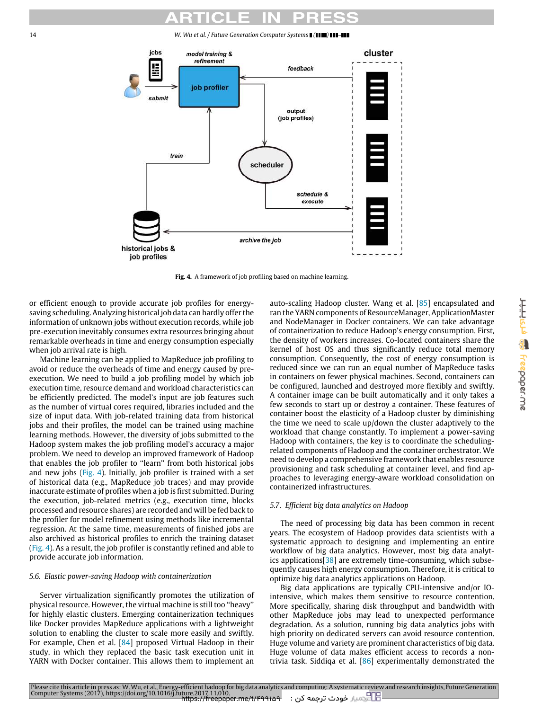<span id="page-13-0"></span>14 *W. Wu et al. / Future Generation Computer Systems ( ) –*



**Fig. 4.** A framework of job profiling based on machine learning.

or efficient enough to provide accurate job profiles for energysaving scheduling. Analyzing historical job data can hardly offer the information of unknown jobs without execution records, while job pre-execution inevitably consumes extra resources bringing about remarkable overheads in time and energy consumption especially when job arrival rate is high.

Machine learning can be applied to MapReduce job profiling to avoid or reduce the overheads of time and energy caused by preexecution. We need to build a job profiling model by which job execution time, resource demand and workload characteristics can be efficiently predicted. The model's input are job features such as the number of virtual cores required, libraries included and the size of input data. With job-related training data from historical jobs and their profiles, the model can be trained using machine learning methods. However, the diversity of jobs submitted to the Hadoop system makes the job profiling model's accuracy a major problem. We need to develop an improved framework of Hadoop that enables the job profiler to ''learn'' from both historical jobs and new jobs [\(Fig. 4\)](#page-13-0). Initially, job profiler is trained with a set of historical data (e.g., MapReduce job traces) and may provide inaccurate estimate of profiles when a job is first submitted. During the execution, job-related metrics (e.g., execution time, blocks processed and resource shares) are recorded and will be fed back to the profiler for model refinement using methods like incremental regression. At the same time, measurements of finished jobs are also archived as historical profiles to enrich the training dataset [\(Fig. 4\)](#page-13-0). As a result, the job profiler is constantly refined and able to provide accurate job information.

#### *5.6. Elastic power-saving Hadoop with containerization*

Server virtualization significantly promotes the utilization of physical resource. However, the virtual machine is still too ''heavy'' for highly elastic clusters. Emerging containerization techniques like Docker provides MapReduce applications with a lightweight solution to enabling the cluster to scale more easily and swiftly. For example, Chen et al. [\[84\]](#page-16-10) proposed Virtual Hadoop in their study, in which they replaced the basic task execution unit in YARN with Docker container. This allows them to implement an auto-scaling Hadoop cluster. Wang et al. [\[85\]](#page-16-11) encapsulated and ran the YARN components of ResourceManager, ApplicationMaster and NodeManager in Docker containers. We can take advantage of containerization to reduce Hadoop's energy consumption. First, the density of workers increases. Co-located containers share the kernel of host OS and thus significantly reduce total memory consumption. Consequently, the cost of energy consumption is reduced since we can run an equal number of MapReduce tasks in containers on fewer physical machines. Second, containers can be configured, launched and destroyed more flexibly and swiftly. A container image can be built automatically and it only takes a few seconds to start up or destroy a container. These features of container boost the elasticity of a Hadoop cluster by diminishing the time we need to scale up/down the cluster adaptively to the workload that change constantly. To implement a power-saving Hadoop with containers, the key is to coordinate the schedulingrelated components of Hadoop and the container orchestrator. We need to develop a comprehensive framework that enables resource provisioning and task scheduling at container level, and find approaches to leveraging energy-aware workload consolidation on containerized infrastructures.

#### *5.7. Efficient big data analytics on Hadoop*

The need of processing big data has been common in recent years. The ecosystem of Hadoop provides data scientists with a systematic approach to designing and implementing an entire workflow of big data analytics. However, most big data analytics applications[\[38\]](#page-15-11) are extremely time-consuming, which subsequently causes high energy consumption. Therefore, it is critical to optimize big data analytics applications on Hadoop.

Big data applications are typically CPU-intensive and/or IOintensive, which makes them sensitive to resource contention. More specifically, sharing disk throughput and bandwidth with other MapReduce jobs may lead to unexpected performance degradation. As a solution, running big data analytics jobs with high priority on dedicated servers can avoid resource contention. Huge volume and variety are prominent characteristics of big data. Huge volume of data makes efficient access to records a nontrivia task. Siddiqa et al. [\[86\]](#page-16-12) experimentally demonstrated the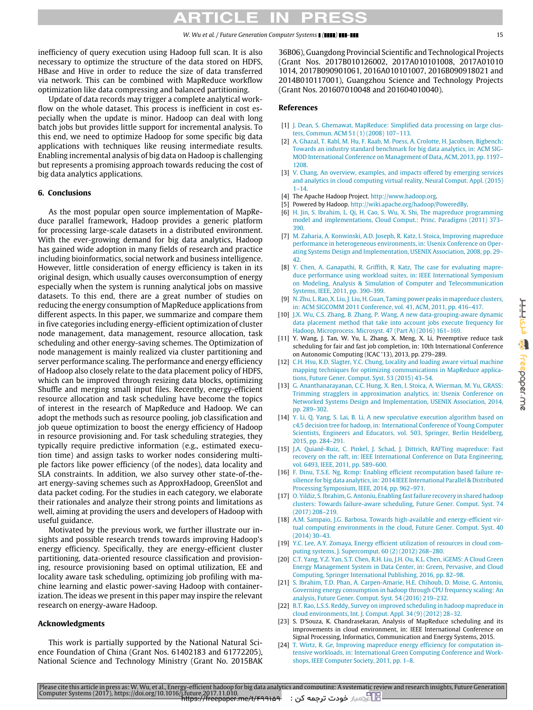## RTICI F

inefficiency of query execution using Hadoop full scan. It is also necessary to optimize the structure of the data stored on HDFS, HBase and Hive in order to reduce the size of data transferred via network. This can be combined with MapReduce workflow optimization like data compressing and balanced partitioning.

Update of data records may trigger a complete analytical workflow on the whole dataset. This process is inefficient in cost especially when the update is minor. Hadoop can deal with long batch jobs but provides little support for incremental analysis. To this end, we need to optimize Hadoop for some specific big data applications with techniques like reusing intermediate results. Enabling incremental analysis of big data on Hadoop is challenging but represents a promising approach towards reducing the cost of big data analytics applications.

#### <span id="page-14-22"></span>**6. Conclusions**

As the most popular open source implementation of MapReduce parallel framework, Hadoop provides a generic platform for processing large-scale datasets in a distributed environment. With the ever-growing demand for big data analytics, Hadoop has gained wide adoption in many fields of research and practice including bioinformatics, social network and business intelligence. However, little consideration of energy efficiency is taken in its original design, which usually causes overconsumption of energy especially when the system is running analytical jobs on massive datasets. To this end, there are a great number of studies on reducing the energy consumption of MapReduce applications from different aspects. In this paper, we summarize and compare them in five categories including energy-efficient optimization of cluster node management, data management, resource allocation, task scheduling and other energy-saving schemes. The Optimization of node management is mainly realized via cluster partitioning and server performance scaling. The performance and energy efficiency of Hadoop also closely relate to the data placement policy of HDFS, which can be improved through resizing data blocks, optimizing Shuffle and merging small input files. Recently, energy-efficient resource allocation and task scheduling have become the topics of interest in the research of MapReduce and Hadoop. We can adopt the methods such as resource pooling, job classification and job queue optimization to boost the energy efficiency of Hadoop in resource provisioning and. For task scheduling strategies, they typically require predictive information (e.g., estimated execution time) and assign tasks to worker nodes considering multiple factors like power efficiency (of the nodes), data locality and SLA constraints. In addition, we also survey other state-of-theart energy-saving schemes such as ApproxHadoop, GreenSlot and data packet coding. For the studies in each category, we elaborate their rationales and analyze their strong points and limitations as well, aiming at providing the users and developers of Hadoop with useful guidance.

Motivated by the previous work, we further illustrate our insights and possible research trends towards improving Hadoop's energy efficiency. Specifically, they are energy-efficient cluster partitioning, data-oriented resource classification and provisioning, resource provisioning based on optimal utilization, EE and locality aware task scheduling, optimizing job profiling with machine learning and elastic power-saving Hadoop with containerization. The ideas we present in this paper may inspire the relevant research on energy-aware Hadoop.

#### **Acknowledgments**

This work is partially supported by the National Natural Science Foundation of China (Grant Nos. 61402183 and 61772205), National Science and Technology Ministry (Grant No. 2015BAK 36B06), Guangdong Provincial Scientific and Technological Projects (Grant Nos. 2017B010126002, 2017A010101008, 2017A01010 1014, 2017B090901061, 2016A010101007, 2016B090918021 and 2014B010117001), Guangzhou Science and Technology Projects (Grant Nos. 201607010048 and 201604010040).

#### **References**

- <span id="page-14-0"></span>[1] [J. Dean, S. Ghemawat, MapReduce: Simplified data processing on large clus](http://refhub.elsevier.com/S0167-739X(17)31817-4/sb1)[ters, Commun. ACM 51 \(1\) \(2008\) 107–113.](http://refhub.elsevier.com/S0167-739X(17)31817-4/sb1)
- <span id="page-14-1"></span>[2] [A. Ghazal, T. Rabl, M. Hu, F. Raab, M. Poess, A. Crolotte, H. Jacobsen, Bigbench:](http://refhub.elsevier.com/S0167-739X(17)31817-4/sb2) [Towards an industry standard benchmark for big data analytics, in: ACM SIG-](http://refhub.elsevier.com/S0167-739X(17)31817-4/sb2)[MOD International Conference on Management of Data, ACM, 2013, pp. 1197–](http://refhub.elsevier.com/S0167-739X(17)31817-4/sb2) [1208.](http://refhub.elsevier.com/S0167-739X(17)31817-4/sb2)
- <span id="page-14-2"></span>[3] [V. Chang, An overview, examples, and impacts offered by emerging services](http://refhub.elsevier.com/S0167-739X(17)31817-4/sb3) [and analytics in cloud computing virtual reality, Neural Comput. Appl. \(2015\)](http://refhub.elsevier.com/S0167-739X(17)31817-4/sb3)  $1 - 14.$
- <span id="page-14-3"></span>[4] The Apache Hadoop Project. [http://www.hadoop.org.](http://www.hadoop.org)
- <span id="page-14-4"></span>[5] Powered by Hadoop. [http://wiki.apache.org/hadoop/PoweredBy.](http://wiki.apache.org/hadoop/PoweredBy)
- <span id="page-14-5"></span>[6] [H. Jin, S. Ibrahim, L. Qi, H. Cao, S. Wu, X. Shi, The mapreduce programming](http://refhub.elsevier.com/S0167-739X(17)31817-4/sb6) [model and implementations, Cloud Comput.: Princ. Paradigms \(2011\) 373–](http://refhub.elsevier.com/S0167-739X(17)31817-4/sb6) [390.](http://refhub.elsevier.com/S0167-739X(17)31817-4/sb6)
- <span id="page-14-6"></span>[7] [M. Zaharia, A. Konwinski, A.D. Joseph, R. Katz, I. Stoica, Improving mapreduce](http://refhub.elsevier.com/S0167-739X(17)31817-4/sb7) [performance in heterogeneous environments, in: Usenix Conference on Oper](http://refhub.elsevier.com/S0167-739X(17)31817-4/sb7)[ating Systems Design and Implementation, USENIX Association, 2008, pp. 29–](http://refhub.elsevier.com/S0167-739X(17)31817-4/sb7)  $42.$
- <span id="page-14-8"></span>[8] [Y. Chen, A. Ganapathi, R. Griffith, R. Katz, The case for evaluating mapre](http://refhub.elsevier.com/S0167-739X(17)31817-4/sb8)[duce performance using workload suites, in: IEEE International Symposium](http://refhub.elsevier.com/S0167-739X(17)31817-4/sb8) [on Modeling, Analysis & Simulation of Computer and Telecommunication](http://refhub.elsevier.com/S0167-739X(17)31817-4/sb8) [Systems, IEEE, 2011, pp. 390–399.](http://refhub.elsevier.com/S0167-739X(17)31817-4/sb8)
- <span id="page-14-7"></span>[9] [N. Zhu, L. Rao, X. Liu, J. Liu, H. Guan, Taming power peaks in mapreduce clusters,](http://refhub.elsevier.com/S0167-739X(17)31817-4/sb9) [in: ACM SIGCOMM 2011 Conference, vol. 41, ACM, 2011, pp. 416–417.](http://refhub.elsevier.com/S0167-739X(17)31817-4/sb9)
- <span id="page-14-9"></span>[\[](http://refhub.elsevier.com/S0167-739X(17)31817-4/sb10)10] [J.X. Wu, C.S. Zhang, B. Zhang, P. Wang, A new data-grouping-aware dynamic](http://refhub.elsevier.com/S0167-739X(17)31817-4/sb10) [data placement method that take into account jobs execute frequency for](http://refhub.elsevier.com/S0167-739X(17)31817-4/sb10) [Hadoop, Microprocess. Microsyst. 47 \(Part A\) \(2016\) 161–169.](http://refhub.elsevier.com/S0167-739X(17)31817-4/sb10)
- [11] Y. Wang, J. Tan, W. Yu, L. Zhang, X. Meng, X. Li, Preemptive reduce task scheduling for fair and fast job completion, in: 10th International Conference on Autonomic Computing (ICAC '13), 2013, pp. 279–289.
- <span id="page-14-10"></span>[\[](http://refhub.elsevier.com/S0167-739X(17)31817-4/sb12)12] [C.H. Hsu, K.D. Slagter, Y.C. Chung, Locality and loading aware virtual machine](http://refhub.elsevier.com/S0167-739X(17)31817-4/sb12) [mapping techniques for optimizing communications in MapReduce applica](http://refhub.elsevier.com/S0167-739X(17)31817-4/sb12)[tions, Future Gener. Comput. Syst. 53 \(2015\) 43–54.](http://refhub.elsevier.com/S0167-739X(17)31817-4/sb12)
- <span id="page-14-11"></span>[\[](http://refhub.elsevier.com/S0167-739X(17)31817-4/sb13)13] [G. Ananthanarayanan, C.C. Hung, X. Ren, I. Stoica, A. Wierman, M. Yu, GRASS:](http://refhub.elsevier.com/S0167-739X(17)31817-4/sb13) [Trimming stragglers in approximation analytics, in: Usenix Conference on](http://refhub.elsevier.com/S0167-739X(17)31817-4/sb13) [Networked Systems Design and Implementation, USENIX Association, 2014,](http://refhub.elsevier.com/S0167-739X(17)31817-4/sb13) [pp. 289–302.](http://refhub.elsevier.com/S0167-739X(17)31817-4/sb13)
- <span id="page-14-12"></span>[\[](http://refhub.elsevier.com/S0167-739X(17)31817-4/sb14)14] [Y. Li, Q. Yang, S. Lai, B. Li, A new speculative execution algorithm based on](http://refhub.elsevier.com/S0167-739X(17)31817-4/sb14) [c4.5 decision tree for hadoop, in: International Conference of Young Computer](http://refhub.elsevier.com/S0167-739X(17)31817-4/sb14) [Scientists, Engineers and Educators, vol. 503, Springer, Berlin Heidelberg,](http://refhub.elsevier.com/S0167-739X(17)31817-4/sb14) [2015, pp. 284–291.](http://refhub.elsevier.com/S0167-739X(17)31817-4/sb14)
- <span id="page-14-13"></span>[\[](http://refhub.elsevier.com/S0167-739X(17)31817-4/sb15)15] [J.A. Quiané-Ruiz, C. Pinkel, J. Schad, J. Dittrich, RAFTing mapreduce: Fast](http://refhub.elsevier.com/S0167-739X(17)31817-4/sb15) [recovery on the raft, in: IEEE International Conference on Data Engineering,](http://refhub.elsevier.com/S0167-739X(17)31817-4/sb15) [vol. 6493, IEEE, 2011, pp. 589–600.](http://refhub.elsevier.com/S0167-739X(17)31817-4/sb15)
- [\[](http://refhub.elsevier.com/S0167-739X(17)31817-4/sb16)16] [F. Dinu, T.S.E. Ng, Rcmp: Enabling efficient recomputation based failure re](http://refhub.elsevier.com/S0167-739X(17)31817-4/sb16)[silience for big data analytics, in: 2014 IEEE International Parallel & Distributed](http://refhub.elsevier.com/S0167-739X(17)31817-4/sb16) [Processing Symposium, IEEE, 2014, pp. 962–971.](http://refhub.elsevier.com/S0167-739X(17)31817-4/sb16)
- <span id="page-14-14"></span>[\[](http://refhub.elsevier.com/S0167-739X(17)31817-4/sb17)17] [O. Yildiz, S. Ibrahim, G. Antoniu, Enabling fast failure recovery in shared hadoop](http://refhub.elsevier.com/S0167-739X(17)31817-4/sb17) [clusters: Towards failure-aware scheduling, Future Gener. Comput. Syst. 74](http://refhub.elsevier.com/S0167-739X(17)31817-4/sb17) [\(2017\) 208–219.](http://refhub.elsevier.com/S0167-739X(17)31817-4/sb17)
- <span id="page-14-15"></span>[\[](http://refhub.elsevier.com/S0167-739X(17)31817-4/sb18)18] [A.M. Sampaio, J.G. Barbosa, Towards high-available and energy-efficient vir](http://refhub.elsevier.com/S0167-739X(17)31817-4/sb18)[tual computing environments in the cloud, Future Gener. Comput. Syst. 40](http://refhub.elsevier.com/S0167-739X(17)31817-4/sb18) [\(2014\) 30–43.](http://refhub.elsevier.com/S0167-739X(17)31817-4/sb18)
- <span id="page-14-16"></span>[\[](http://refhub.elsevier.com/S0167-739X(17)31817-4/sb19)19] [Y.C. Lee, A.Y. Zomaya, Energy efficient utilization of resources in cloud com](http://refhub.elsevier.com/S0167-739X(17)31817-4/sb19)[puting systems, J. Supercomput. 60 \(2\) \(2012\) 268–280.](http://refhub.elsevier.com/S0167-739X(17)31817-4/sb19)
- <span id="page-14-17"></span>[\[](http://refhub.elsevier.com/S0167-739X(17)31817-4/sb20)20] [C.T. Yang, Y.Z. Yan, S.T. Chen, R.H. Liu, J.H. Ou, K.L. Chen, iGEMS: A Cloud Green](http://refhub.elsevier.com/S0167-739X(17)31817-4/sb20) [Energy Management System in Data Center, in: Green, Pervasive, and Cloud](http://refhub.elsevier.com/S0167-739X(17)31817-4/sb20) [Computing, Springer International Publishing, 2016, pp. 82–98.](http://refhub.elsevier.com/S0167-739X(17)31817-4/sb20)
- <span id="page-14-18"></span>[\[](http://refhub.elsevier.com/S0167-739X(17)31817-4/sb21)21] [S. Ibrahim, T.D. Phan, A. Carpen-Amarie, H.E. Chihoub, D. Moise, G. Antoniu,](http://refhub.elsevier.com/S0167-739X(17)31817-4/sb21) [Governing energy consumption in hadoop through CPU frequency scaling: An](http://refhub.elsevier.com/S0167-739X(17)31817-4/sb21) [analysis, Future Gener. Comput. Syst. 54 \(2016\) 219–232.](http://refhub.elsevier.com/S0167-739X(17)31817-4/sb21)
- <span id="page-14-19"></span>[\[](http://refhub.elsevier.com/S0167-739X(17)31817-4/sb22)22] [B.T. Rao, L.S.S. Reddy, Survey on improved scheduling in hadoop mapreduce in](http://refhub.elsevier.com/S0167-739X(17)31817-4/sb22) [cloud environments, Int. J. Comput. Appl. 34 \(9\) \(2012\) 28–32.](http://refhub.elsevier.com/S0167-739X(17)31817-4/sb22)
- <span id="page-14-20"></span>[23] S. D'Souza, K. Chandrasekaran, Analysis of MapReduce scheduling and its improvements in cloud environment, in: IEEE International Conference on Signal Processing, Informatics, Communication and Energy Systems, 2015.
- <span id="page-14-21"></span>[\[](http://refhub.elsevier.com/S0167-739X(17)31817-4/sb24)24] [T. Wirtz, R. Ge, Improving mapreduce energy efficiency for computation in](http://refhub.elsevier.com/S0167-739X(17)31817-4/sb24)[tensive workloads, in: International Green Computing Conference and Work](http://refhub.elsevier.com/S0167-739X(17)31817-4/sb24)[shops, IEEE Computer Society, 2011, pp. 1–8.](http://refhub.elsevier.com/S0167-739X(17)31817-4/sb24)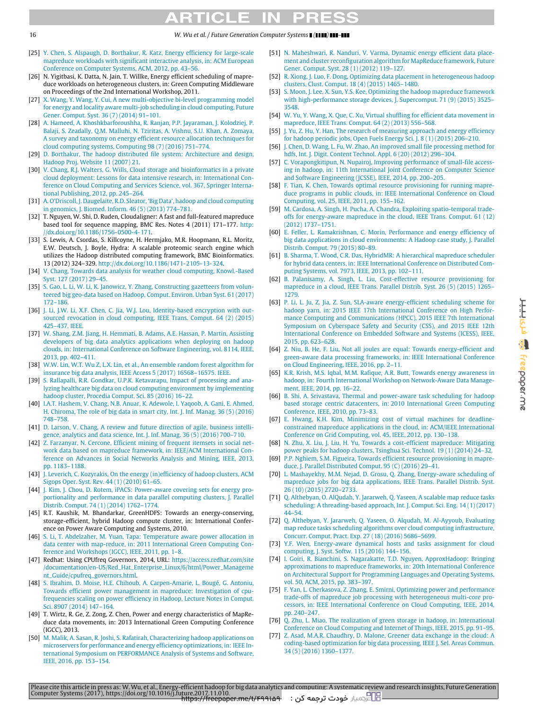## $\mathbf C$

#### 16 *W. Wu et al. / Future Generation Computer Systems ( ) –*

- <span id="page-15-19"></span>[\[](http://refhub.elsevier.com/S0167-739X(17)31817-4/sb25)25] [Y. Chen, S. Alspaugh, D. Borthakur, R. Katz, Energy efficiency for large-scale](http://refhub.elsevier.com/S0167-739X(17)31817-4/sb25) [mapreduce workloads with significant interactive analysis, in: ACM European](http://refhub.elsevier.com/S0167-739X(17)31817-4/sb25) [Conference on Computer Systems, ACM, 2012, pp. 43–56.](http://refhub.elsevier.com/S0167-739X(17)31817-4/sb25)
- <span id="page-15-45"></span>[26] N. Yigitbasi, K. Datta, N. Jain, T. Willke, Energy efficient scheduling of mapreduce workloads on heterogeneous clusters, in: Green Computing Middleware on Proceedings of the 2nd International Workshop, 2011.
- <span id="page-15-0"></span>[\[](http://refhub.elsevier.com/S0167-739X(17)31817-4/sb27)27] [X. Wang, Y. Wang, Y. Cui, A new multi-objective bi-level programming model](http://refhub.elsevier.com/S0167-739X(17)31817-4/sb27) [for energy and locality aware multi-job scheduling in cloud computing, Future](http://refhub.elsevier.com/S0167-739X(17)31817-4/sb27) [Gener. Comput. Syst. 36 \(7\) \(2014\) 91–101.](http://refhub.elsevier.com/S0167-739X(17)31817-4/sb27)
- <span id="page-15-1"></span>[\[](http://refhub.elsevier.com/S0167-739X(17)31817-4/sb28)28] [A. Hameed, A. Khoshkbarforoushha, R. Ranjan, P.P. Jayaraman, J. Kolodziej, P.](http://refhub.elsevier.com/S0167-739X(17)31817-4/sb28) [Balaji, S. Zeadally, Q.M. Malluhi, N. Tziritas, A. Vishnu, S.U. Khan, A. Zomaya,](http://refhub.elsevier.com/S0167-739X(17)31817-4/sb28) [A survey and taxonomy on energy efficient resource allocation techniques for](http://refhub.elsevier.com/S0167-739X(17)31817-4/sb28) [cloud computing systems, Computing 98 \(7\) \(2016\) 751–774.](http://refhub.elsevier.com/S0167-739X(17)31817-4/sb28)
- <span id="page-15-2"></span>[\[](http://refhub.elsevier.com/S0167-739X(17)31817-4/sb29)29] [D. Borthakur, The hadoop distributed file system: Architecture and design,](http://refhub.elsevier.com/S0167-739X(17)31817-4/sb29) [Hadoop Proj. Website 11 \(2007\) 21.](http://refhub.elsevier.com/S0167-739X(17)31817-4/sb29)
- <span id="page-15-3"></span>[\[](http://refhub.elsevier.com/S0167-739X(17)31817-4/sb30)30] [V. Chang, R.J. Walters, G. Wills, Cloud storage and bioinformatics in a private](http://refhub.elsevier.com/S0167-739X(17)31817-4/sb30) [cloud deployment: Lessons for data intensive research, in: International Con](http://refhub.elsevier.com/S0167-739X(17)31817-4/sb30)[ference on Cloud Computing and Services Science, vol. 367, Springer Interna](http://refhub.elsevier.com/S0167-739X(17)31817-4/sb30)[tional Publishing, 2012, pp. 245–264.](http://refhub.elsevier.com/S0167-739X(17)31817-4/sb30)
- <span id="page-15-4"></span>[\[](http://refhub.elsevier.com/S0167-739X(17)31817-4/sb31)31] [A. O'Driscoll, J. Daugelaite, R.D. Sleator, 'Big Data', hadoop and cloud computing](http://refhub.elsevier.com/S0167-739X(17)31817-4/sb31) [in genomics, J. Biomed. Inform. 46 \(5\) \(2013\) 774–781.](http://refhub.elsevier.com/S0167-739X(17)31817-4/sb31)
- <span id="page-15-5"></span>[32] T. Nguyen, W. Shi, D. Ruden, Cloudaligner: A fast and full-featured mapreduce based tool for sequence mapping, BMC Res. Notes 4 (2011) 171–177. [http:](http://dx.doi.org/10.1186/1756-0500-4-171) [//dx.doi.org/10.1186/1756-0500-4-171.](http://dx.doi.org/10.1186/1756-0500-4-171)
- <span id="page-15-6"></span>[33] S. Lewis, A. Csordas, S. Killcoyne, H. Hermjako, M.R. Hoopmann, R.L. Moritz, E.W. Deutsch, J. Boyle, Hydra: A scalable proteomic search engine which utilizes the Hadoop distributed computing framework, BMC Bioinformatics. 13 (2012) 324–329. [http://dx.doi.org/10.1186/1471-2105-13-324.](http://dx.doi.org/10.1186/1471-2105-13-324)
- <span id="page-15-7"></span>[\[](http://refhub.elsevier.com/S0167-739X(17)31817-4/sb34)34] [V. Chang, Towards data analysis for weather cloud computing, Knowl.-Based](http://refhub.elsevier.com/S0167-739X(17)31817-4/sb34) [Syst. 127 \(2017\) 29–45.](http://refhub.elsevier.com/S0167-739X(17)31817-4/sb34)
- <span id="page-15-8"></span>[\[](http://refhub.elsevier.com/S0167-739X(17)31817-4/sb35)35] [S. Gao, L. Li, W. Li, K. Janowicz, Y. Zhang, Constructing gazetteers from volun](http://refhub.elsevier.com/S0167-739X(17)31817-4/sb35)[teered big geo-data based on Hadoop, Comput. Environ. Urban Syst. 61 \(2017\)](http://refhub.elsevier.com/S0167-739X(17)31817-4/sb35) [172–186.](http://refhub.elsevier.com/S0167-739X(17)31817-4/sb35)
- <span id="page-15-9"></span>[\[](http://refhub.elsevier.com/S0167-739X(17)31817-4/sb36)36] [J. Li, J.W. Li, X.F. Chen, C. Jia, W.J. Lou, Identity-based encryption with out](http://refhub.elsevier.com/S0167-739X(17)31817-4/sb36)[sourced revocation in cloud computing, IEEE Trans. Comput. 64 \(2\) \(2015\)](http://refhub.elsevier.com/S0167-739X(17)31817-4/sb36) [425–437. IEEE.](http://refhub.elsevier.com/S0167-739X(17)31817-4/sb36)
- <span id="page-15-10"></span>[\[](http://refhub.elsevier.com/S0167-739X(17)31817-4/sb37)37] [W. Shang, Z.M. Jiang, H. Hemmati, B. Adams, A.E. Hassan, P. Martin, Assisting](http://refhub.elsevier.com/S0167-739X(17)31817-4/sb37) [developers of big data analytics applications when deploying on hadoop](http://refhub.elsevier.com/S0167-739X(17)31817-4/sb37) [clouds, in: International Conference on Software Engineering, vol. 8114, IEEE,](http://refhub.elsevier.com/S0167-739X(17)31817-4/sb37) [2013, pp. 402–411.](http://refhub.elsevier.com/S0167-739X(17)31817-4/sb37)
- <span id="page-15-11"></span>[\[](http://refhub.elsevier.com/S0167-739X(17)31817-4/sb38)38] [W.W. Lin, W.T. Wu Z, L.X. Lin, et al., An ensemble random forest algorithm for](http://refhub.elsevier.com/S0167-739X(17)31817-4/sb38) [insurance big data analysis, IEEE Access 5 \(2017\) 16568–16575. IEEE.](http://refhub.elsevier.com/S0167-739X(17)31817-4/sb38)
- <span id="page-15-12"></span>[\[](http://refhub.elsevier.com/S0167-739X(17)31817-4/sb39)39] [S. Rallapalli, R.R. Gondkar, U.P.K. Ketavarapu, Impact of processing and ana](http://refhub.elsevier.com/S0167-739X(17)31817-4/sb39)[lyzing healthcare big data on cloud computing environment by implementing](http://refhub.elsevier.com/S0167-739X(17)31817-4/sb39) [hadoop cluster, Procedia Comput. Sci. 85 \(2016\) 16–22.](http://refhub.elsevier.com/S0167-739X(17)31817-4/sb39)
- <span id="page-15-13"></span>[\[](http://refhub.elsevier.com/S0167-739X(17)31817-4/sb40)40] [I.A.T. Hashem, V. Chang, N.B. Anuar, K. Adewole, I. Yaqoob, A. Gani, E. Ahmed,](http://refhub.elsevier.com/S0167-739X(17)31817-4/sb40) [H. Chiroma, The role of big data in smart city, Int. J. Inf. Manag. 36 \(5\) \(2016\)](http://refhub.elsevier.com/S0167-739X(17)31817-4/sb40) [748–758.](http://refhub.elsevier.com/S0167-739X(17)31817-4/sb40)
- <span id="page-15-14"></span>[\[](http://refhub.elsevier.com/S0167-739X(17)31817-4/sb41)41] [D. Larson, V. Chang, A review and future direction of agile, business intelli](http://refhub.elsevier.com/S0167-739X(17)31817-4/sb41)[gence, analytics and data science, Int. J. Inf. Manag. 36 \(5\) \(2016\) 700–710.](http://refhub.elsevier.com/S0167-739X(17)31817-4/sb41)
- <span id="page-15-15"></span>[\[](http://refhub.elsevier.com/S0167-739X(17)31817-4/sb42)42] [Z. Farzanyar, N. Cercone, Efficient mining of frequent itemsets in social net](http://refhub.elsevier.com/S0167-739X(17)31817-4/sb42)[work data based on mapreduce framework, in: IEEE/ACM International Con](http://refhub.elsevier.com/S0167-739X(17)31817-4/sb42)[ference on Advances in Social Networks Analysis and Mining, IEEE, 2013,](http://refhub.elsevier.com/S0167-739X(17)31817-4/sb42) [pp. 1183–1188.](http://refhub.elsevier.com/S0167-739X(17)31817-4/sb42)
- <span id="page-15-16"></span>[\[](http://refhub.elsevier.com/S0167-739X(17)31817-4/sb43)43] [J. Leverich, C. Kozyrakis, On the energy \(in\)efficiency of hadoop clusters, ACM](http://refhub.elsevier.com/S0167-739X(17)31817-4/sb43) [Sigops Oper. Syst. Rev. 44 \(1\) \(2010\) 61–65.](http://refhub.elsevier.com/S0167-739X(17)31817-4/sb43)
- <span id="page-15-17"></span>[\[](http://refhub.elsevier.com/S0167-739X(17)31817-4/sb44)44] [J. Kim, J. Chou, D. Rotem, iPACS: Power-aware covering sets for energy pro](http://refhub.elsevier.com/S0167-739X(17)31817-4/sb44)[portionality and performance in data parallel computing clusters, J. Parallel](http://refhub.elsevier.com/S0167-739X(17)31817-4/sb44) [Distrib. Comput. 74 \(1\) \(2014\) 1762–1774.](http://refhub.elsevier.com/S0167-739X(17)31817-4/sb44)
- <span id="page-15-18"></span>[45] R.T. Kaushik, M. Bhandarkar, GreenHDFS: Towards an energy-conserving, storage-efficient, hybrid Hadoop compute cluster, in: International Conference on Power Aware Computing and Systems, 2010.
- <span id="page-15-20"></span>[\[](http://refhub.elsevier.com/S0167-739X(17)31817-4/sb46)46] [S. Li, T. Abdelzaher, M. Yuan, Tapa: Temperature aware power allocation in](http://refhub.elsevier.com/S0167-739X(17)31817-4/sb46) [data center with map-reduce, in: 2011 International Green Computing Con](http://refhub.elsevier.com/S0167-739X(17)31817-4/sb46)[ference and Workshops \(IGCC\), IEEE, 2011, pp. 1–8.](http://refhub.elsevier.com/S0167-739X(17)31817-4/sb46)
- <span id="page-15-21"></span>[47] Redhat: Using CPUfreq Governors, 2014, URL: [https://access.redhat.com/site](https://access.redhat.com/site/documentation/en-US/Red_Hat_Enterprise_Linux/6/html/Power_Management_Guide/cpufreq_governors.html) [/documentation/en-US/Red\\_Hat\\_Enterprise\\_Linux/6/html/Power\\_Manageme](https://access.redhat.com/site/documentation/en-US/Red_Hat_Enterprise_Linux/6/html/Power_Management_Guide/cpufreq_governors.html) [nt\\_Guide/cpufreq\\_governors.html.](https://access.redhat.com/site/documentation/en-US/Red_Hat_Enterprise_Linux/6/html/Power_Management_Guide/cpufreq_governors.html)
- <span id="page-15-22"></span>[\[](http://refhub.elsevier.com/S0167-739X(17)31817-4/sb48)48] [S. Ibrahim, D. Moise, H.E. Chihoub, A. Carpen-Amarie, L. Bougé, G. Antoniu,](http://refhub.elsevier.com/S0167-739X(17)31817-4/sb48) [Towards efficient power management in mapreduce: Investigation of cpu](http://refhub.elsevier.com/S0167-739X(17)31817-4/sb48)[frequencies scaling on power efficiency in Hadoop, Lecture Notes in Comput.](http://refhub.elsevier.com/S0167-739X(17)31817-4/sb48) [Sci. 8907 \(2014\) 147–164.](http://refhub.elsevier.com/S0167-739X(17)31817-4/sb48)
- <span id="page-15-23"></span>[49] T. Wirtz, R. Ge, Z. Zong, Z. Chen, Power and energy characteristics of MapReduce data movements, in: 2013 International Green Computing Conference (IGCC), 2013.
- <span id="page-15-24"></span>[\[](http://refhub.elsevier.com/S0167-739X(17)31817-4/sb50)50] [M. Malik, A. Sasan, R. Joshi, S. Rafatirah, Characterizing hadoop applications on](http://refhub.elsevier.com/S0167-739X(17)31817-4/sb50) [microservers for performance and energy efficiency optimizations, in: IEEE In](http://refhub.elsevier.com/S0167-739X(17)31817-4/sb50)[ternational Symposium on PERFORMANCE Analysis of Systems and Software,](http://refhub.elsevier.com/S0167-739X(17)31817-4/sb50) [IEEE, 2016, pp. 153–154.](http://refhub.elsevier.com/S0167-739X(17)31817-4/sb50)
- <span id="page-15-25"></span>[\[](http://refhub.elsevier.com/S0167-739X(17)31817-4/sb51)51] [N. Maheshwari, R. Nanduri, V. Varma, Dynamic energy efficient data place](http://refhub.elsevier.com/S0167-739X(17)31817-4/sb51)[ment and cluster reconfiguration algorithm for MapReduce framework, Future](http://refhub.elsevier.com/S0167-739X(17)31817-4/sb51) [Gener. Comput. Syst. 28 \(1\) \(2012\) 119–127.](http://refhub.elsevier.com/S0167-739X(17)31817-4/sb51)
- <span id="page-15-26"></span>[\[](http://refhub.elsevier.com/S0167-739X(17)31817-4/sb52)52] [R. Xiong, J. Luo, F. Dong, Optimizing data placement in heterogeneous hadoop](http://refhub.elsevier.com/S0167-739X(17)31817-4/sb52) [clusters, Clust. Comput. 18 \(4\) \(2015\) 1465–1480.](http://refhub.elsevier.com/S0167-739X(17)31817-4/sb52)
- <span id="page-15-27"></span>[\[](http://refhub.elsevier.com/S0167-739X(17)31817-4/sb53)53] [S. Moon, J. Lee, X. Sun, Y.S. Kee, Optimizing the hadoop mapreduce framework](http://refhub.elsevier.com/S0167-739X(17)31817-4/sb53) [with high-performance storage devices, J. Supercomput. 71 \(9\) \(2015\) 3525–](http://refhub.elsevier.com/S0167-739X(17)31817-4/sb53) [3548.](http://refhub.elsevier.com/S0167-739X(17)31817-4/sb53)
- <span id="page-15-28"></span>[\[](http://refhub.elsevier.com/S0167-739X(17)31817-4/sb54)54] [W. Yu, Y. Wang, X. Que, C. Xu, Virtual shuffling for efficient data movement in](http://refhub.elsevier.com/S0167-739X(17)31817-4/sb54) [mapreduce, IEEE Trans. Comput. 64 \(2\) \(2013\) 556–568.](http://refhub.elsevier.com/S0167-739X(17)31817-4/sb54)
- <span id="page-15-29"></span>[\[](http://refhub.elsevier.com/S0167-739X(17)31817-4/sb55)55] [J. Yu, Z. Hu, Y. Han, The research of measuring approach and energy efficiency](http://refhub.elsevier.com/S0167-739X(17)31817-4/sb55) [for hadoop periodic jobs, Open Fuels Energy Sci. J. 8 \(1\) \(2015\) 206–210.](http://refhub.elsevier.com/S0167-739X(17)31817-4/sb55)
- <span id="page-15-30"></span>[\[](http://refhub.elsevier.com/S0167-739X(17)31817-4/sb56)56] [J. Chen, D. Wang, L. Fu, W. Zhao, An improved small file processing method for](http://refhub.elsevier.com/S0167-739X(17)31817-4/sb56) [hdfs, Int. J. Digit. Content Technol. Appl. 6 \(20\) \(2012\) 296–304.](http://refhub.elsevier.com/S0167-739X(17)31817-4/sb56)
- <span id="page-15-31"></span>[\[](http://refhub.elsevier.com/S0167-739X(17)31817-4/sb57)57] [C. Vorapongkitipun, N. Nupairoj, Improving performance of small-file access](http://refhub.elsevier.com/S0167-739X(17)31817-4/sb57)[ing in hadoop, in: 11th International Joint Conference on Computer Science](http://refhub.elsevier.com/S0167-739X(17)31817-4/sb57) [and Software Engineering \(JCSSE\), IEEE, 2014, pp. 200–205.](http://refhub.elsevier.com/S0167-739X(17)31817-4/sb57)
- <span id="page-15-32"></span>[\[](http://refhub.elsevier.com/S0167-739X(17)31817-4/sb58)58] [F. Tian, K. Chen, Towards optimal resource provisioning for running mapre](http://refhub.elsevier.com/S0167-739X(17)31817-4/sb58)[duce programs in public clouds, in: IEEE International Conference on Cloud](http://refhub.elsevier.com/S0167-739X(17)31817-4/sb58) [Computing, vol. 25, IEEE, 2011, pp. 155–162.](http://refhub.elsevier.com/S0167-739X(17)31817-4/sb58)
- <span id="page-15-33"></span>[\[](http://refhub.elsevier.com/S0167-739X(17)31817-4/sb59)59] [M. Cardosa, A. Singh, H. Pucha, A. Chandra, Exploiting spatio-temporal trade](http://refhub.elsevier.com/S0167-739X(17)31817-4/sb59)[offs for energy-aware mapreduce in the cloud, IEEE Trans. Comput. 61 \(12\)](http://refhub.elsevier.com/S0167-739X(17)31817-4/sb59) [\(2012\) 1737–1751.](http://refhub.elsevier.com/S0167-739X(17)31817-4/sb59)
- <span id="page-15-34"></span>[\[](http://refhub.elsevier.com/S0167-739X(17)31817-4/sb60)60] [E. Feller, L. Ramakrishnan, C. Morin, Performance and energy efficiency of](http://refhub.elsevier.com/S0167-739X(17)31817-4/sb60) [big data applications in cloud environments: A Hadoop case study, J. Parallel](http://refhub.elsevier.com/S0167-739X(17)31817-4/sb60) [Distrib. Comput. 79 \(2015\) 80–89.](http://refhub.elsevier.com/S0167-739X(17)31817-4/sb60)
- <span id="page-15-35"></span>[\[](http://refhub.elsevier.com/S0167-739X(17)31817-4/sb61)61] [B. Sharma, T. Wood, C.R. Das, HybridMR: A hierarchical mapreduce scheduler](http://refhub.elsevier.com/S0167-739X(17)31817-4/sb61) [for hybrid data centers, in: IEEE International Conference on Distributed Com](http://refhub.elsevier.com/S0167-739X(17)31817-4/sb61)[puting Systems, vol. 7973, IEEE, 2013, pp. 102–111.](http://refhub.elsevier.com/S0167-739X(17)31817-4/sb61)
- <span id="page-15-36"></span>[\[](http://refhub.elsevier.com/S0167-739X(17)31817-4/sb62)62] [B. Palanisamy, A. Singh, L. Liu, Cost-effective resource provisioning for](http://refhub.elsevier.com/S0167-739X(17)31817-4/sb62) [mapreduce in a cloud, IEEE Trans. Parallel Distrib. Syst. 26 \(5\) \(2015\) 1265–](http://refhub.elsevier.com/S0167-739X(17)31817-4/sb62) [1279.](http://refhub.elsevier.com/S0167-739X(17)31817-4/sb62)
- <span id="page-15-37"></span>[\[](http://refhub.elsevier.com/S0167-739X(17)31817-4/sb63)63] [P. Li, L. Ju, Z. Jia, Z. Sun, SLA-aware energy-efficient scheduling scheme for](http://refhub.elsevier.com/S0167-739X(17)31817-4/sb63) [hadoop yarn, in: 2015 IEEE 17th International Conference on High Perfor](http://refhub.elsevier.com/S0167-739X(17)31817-4/sb63)[mance Computing and Communications \(HPCC\), 2015 IEEE 7th International](http://refhub.elsevier.com/S0167-739X(17)31817-4/sb63) [Symposium on Cyberspace Safety and Security \(CSS\), and 2015 IEEE 12th](http://refhub.elsevier.com/S0167-739X(17)31817-4/sb63) [International Conference on Embedded Software and Systems \(ICESS\), IEEE,](http://refhub.elsevier.com/S0167-739X(17)31817-4/sb63) [2015, pp. 623–628.](http://refhub.elsevier.com/S0167-739X(17)31817-4/sb63)
- <span id="page-15-38"></span>[\[](http://refhub.elsevier.com/S0167-739X(17)31817-4/sb64)64] [Z. Niu, B. He, F. Liu, Not all joules are equal: Towards energy-efficient and](http://refhub.elsevier.com/S0167-739X(17)31817-4/sb64) [green-aware data processing frameworks, in: IEEE International Conference](http://refhub.elsevier.com/S0167-739X(17)31817-4/sb64) [on Cloud Engineering, IEEE, 2016, pp. 2–11.](http://refhub.elsevier.com/S0167-739X(17)31817-4/sb64)
- <span id="page-15-39"></span>[\[](http://refhub.elsevier.com/S0167-739X(17)31817-4/sb65)65] [K.R. Krish, M.S. Iqbal, M.M. Rafique, A.R. Butt, Towards energy awareness in](http://refhub.elsevier.com/S0167-739X(17)31817-4/sb65) [hadoop, in: Fourth International Workshop on Network-Aware Data Manage](http://refhub.elsevier.com/S0167-739X(17)31817-4/sb65)[ment, IEEE, 2014, pp. 16–22.](http://refhub.elsevier.com/S0167-739X(17)31817-4/sb65)
- <span id="page-15-40"></span>[\[](http://refhub.elsevier.com/S0167-739X(17)31817-4/sb66)66] [B. Shi, A. Srivastava, Thermal and power-aware task scheduling for hadoop](http://refhub.elsevier.com/S0167-739X(17)31817-4/sb66) [based storage centric datacenters, in: 2010 International Green Computing](http://refhub.elsevier.com/S0167-739X(17)31817-4/sb66) [Conference, IEEE, 2010, pp. 73–83.](http://refhub.elsevier.com/S0167-739X(17)31817-4/sb66)
- <span id="page-15-41"></span>[\[](http://refhub.elsevier.com/S0167-739X(17)31817-4/sb67)67] [E. Hwang, K.H. Kim, Minimizing cost of virtual machines for deadline](http://refhub.elsevier.com/S0167-739X(17)31817-4/sb67)[constrained mapreduce applications in the cloud, in: ACM/IEEE International](http://refhub.elsevier.com/S0167-739X(17)31817-4/sb67) [Conference on Grid Computing, vol. 45, IEEE, 2012, pp. 130–138.](http://refhub.elsevier.com/S0167-739X(17)31817-4/sb67)
- <span id="page-15-42"></span>[\[](http://refhub.elsevier.com/S0167-739X(17)31817-4/sb68)68] [N. Zhu, X. Liu, J. Liu, H. Yu, Towards a cost-efficient mapreduce: Mitigating](http://refhub.elsevier.com/S0167-739X(17)31817-4/sb68) [power peaks for hadoop clusters, Tsinghua Sci. Technol. 19 \(1\) \(2014\) 24–32.](http://refhub.elsevier.com/S0167-739X(17)31817-4/sb68)
- <span id="page-15-43"></span>[\[](http://refhub.elsevier.com/S0167-739X(17)31817-4/sb69)69] [P.P. Nghiem, S.M. Figueira, Towards efficient resource provisioning in mapre](http://refhub.elsevier.com/S0167-739X(17)31817-4/sb69)[duce, J. Parallel Distributed Comput. 95 \(C\) \(2016\) 29–41.](http://refhub.elsevier.com/S0167-739X(17)31817-4/sb69)
- <span id="page-15-44"></span>[\[](http://refhub.elsevier.com/S0167-739X(17)31817-4/sb70)70] [L. Mashayekhy, M.M. Nejad, D. Grosu, Q. Zhang, Energy-aware scheduling of](http://refhub.elsevier.com/S0167-739X(17)31817-4/sb70) [mapreduce jobs for big data applications, IEEE Trans. Parallel Distrib. Syst.](http://refhub.elsevier.com/S0167-739X(17)31817-4/sb70) [26 \(10\) \(2015\) 2720–2733.](http://refhub.elsevier.com/S0167-739X(17)31817-4/sb70)
- <span id="page-15-46"></span>[\[](http://refhub.elsevier.com/S0167-739X(17)31817-4/sb71)71] [Q. Althebyan, O. AlQudah, Y. Jararweh, Q. Yaseen, A scalable map reduce tasks](http://refhub.elsevier.com/S0167-739X(17)31817-4/sb71) [scheduling: A threading-based approach, Int. J. Comput. Sci. Eng. 14 \(1\) \(2017\)](http://refhub.elsevier.com/S0167-739X(17)31817-4/sb71) [44–54.](http://refhub.elsevier.com/S0167-739X(17)31817-4/sb71)
- <span id="page-15-47"></span>[\[](http://refhub.elsevier.com/S0167-739X(17)31817-4/sb72)72] [Q. Althebyan, Y. Jararweh, Q. Yaseen, O. Alqudah, M. Al-Ayyoub, Evaluating](http://refhub.elsevier.com/S0167-739X(17)31817-4/sb72) [map reduce tasks scheduling algorithms over cloud computing infrastructure,](http://refhub.elsevier.com/S0167-739X(17)31817-4/sb72) [Concurr. Comput. Pract. Exp. 27 \(18\) \(2016\) 5686–5699.](http://refhub.elsevier.com/S0167-739X(17)31817-4/sb72)
- <span id="page-15-48"></span>[\[](http://refhub.elsevier.com/S0167-739X(17)31817-4/sb73)73] [Y.F. Wen, Energy-aware dynamical hosts and tasks assignment for cloud](http://refhub.elsevier.com/S0167-739X(17)31817-4/sb73) [computing, J. Syst. Softw. 115 \(2016\) 144–156.](http://refhub.elsevier.com/S0167-739X(17)31817-4/sb73)
- <span id="page-15-49"></span>[\[](http://refhub.elsevier.com/S0167-739X(17)31817-4/sb74)74] [I. Goiri, R. Bianchini, S. Nagarakatte, T.D. Nguyen, ApproxHadoop: Bringing](http://refhub.elsevier.com/S0167-739X(17)31817-4/sb74) [approximations to mapreduce frameworks, in: 20th International Conference](http://refhub.elsevier.com/S0167-739X(17)31817-4/sb74) [on Architectural Support for Programming Languages and Operating Systems,](http://refhub.elsevier.com/S0167-739X(17)31817-4/sb74) [vol. 50, ACM, 2015, pp. 383–397.](http://refhub.elsevier.com/S0167-739X(17)31817-4/sb74)
- <span id="page-15-50"></span>[\[](http://refhub.elsevier.com/S0167-739X(17)31817-4/sb75)75] [F. Yan, L. Cherkasova, Z. Zhang, E. Smirni, Optimizing power and performance](http://refhub.elsevier.com/S0167-739X(17)31817-4/sb75) [trade-offs of mapreduce job processing with heterogeneous multi-core pro](http://refhub.elsevier.com/S0167-739X(17)31817-4/sb75)[cessors, in: IEEE International Conference on Cloud Computing, IEEE, 2014,](http://refhub.elsevier.com/S0167-739X(17)31817-4/sb75) [pp. 240–247.](http://refhub.elsevier.com/S0167-739X(17)31817-4/sb75)
- <span id="page-15-51"></span>[\[](http://refhub.elsevier.com/S0167-739X(17)31817-4/sb76)76] [Q. Zhu, L. Miao, The realization of green storage in hadoop, in: International](http://refhub.elsevier.com/S0167-739X(17)31817-4/sb76) [Conference on Cloud Computing and Internet of Things, IEEE, 2015, pp. 91–95.](http://refhub.elsevier.com/S0167-739X(17)31817-4/sb76)
- <span id="page-15-52"></span>[\[](http://refhub.elsevier.com/S0167-739X(17)31817-4/sb77)77] [Z. Asad, M.A.R. Chaudhry, D. Malone, Greener data exchange in the cloud: A](http://refhub.elsevier.com/S0167-739X(17)31817-4/sb77) [coding-based optimization for big data processing, IEEE J. Sel. Areas Commun.](http://refhub.elsevier.com/S0167-739X(17)31817-4/sb77) [34 \(5\) \(2016\) 1360–1377.](http://refhub.elsevier.com/S0167-739X(17)31817-4/sb77)

فرىيىيىر **SO Freepoper** me